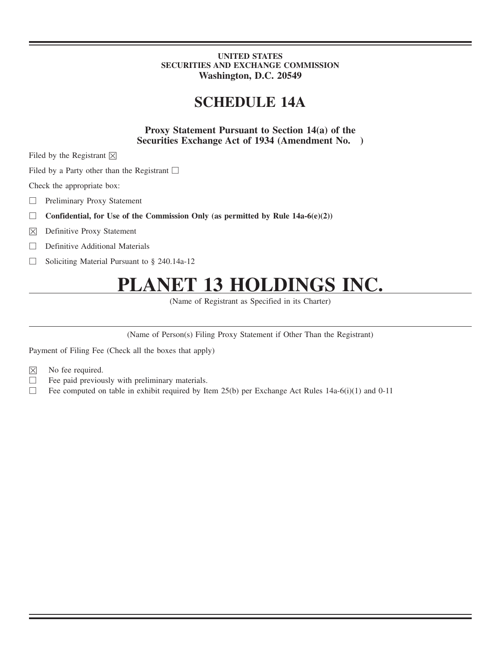### **UNITED STATES SECURITIES AND EXCHANGE COMMISSION Washington, D.C. 20549**

## **SCHEDULE 14A**

**Proxy Statement Pursuant to Section 14(a) of the Securities Exchange Act of 1934 (Amendment No. )**

Filed by the Registrant  $\boxtimes$ 

Filed by a Party other than the Registrant □

Check the appropriate box:

□ Preliminary Proxy Statement

- **Confidential, for Use of the Commission Only (as permitted by Rule 14a-6(e)(2))**
- $\boxtimes$  Definitive Proxy Statement
- □ Definitive Additional Materials
- □ Soliciting Material Pursuant to § 240.14a-12

# **PLANET 13 HOLDINGS INC.**

(Name of Registrant as Specified in its Charter)

(Name of Person(s) Filing Proxy Statement if Other Than the Registrant)

Payment of Filing Fee (Check all the boxes that apply)

- $\boxtimes$  No fee required.
- $\Box$  Fee paid previously with preliminary materials.
- □ Fee computed on table in exhibit required by Item  $25(b)$  per Exchange Act Rules 14a-6(i)(1) and 0-11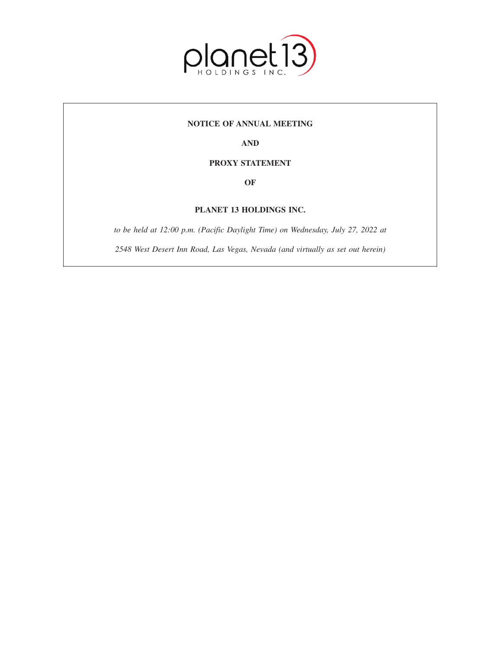

### **NOTICE OF ANNUAL MEETING**

**AND**

### **PROXY STATEMENT**

**OF**

### **PLANET 13 HOLDINGS INC.**

*to be held at 12:00 p.m. (Pacific Daylight Time) on Wednesday, July 27, 2022 at*

*2548 West Desert Inn Road, Las Vegas, Nevada (and virtually as set out herein)*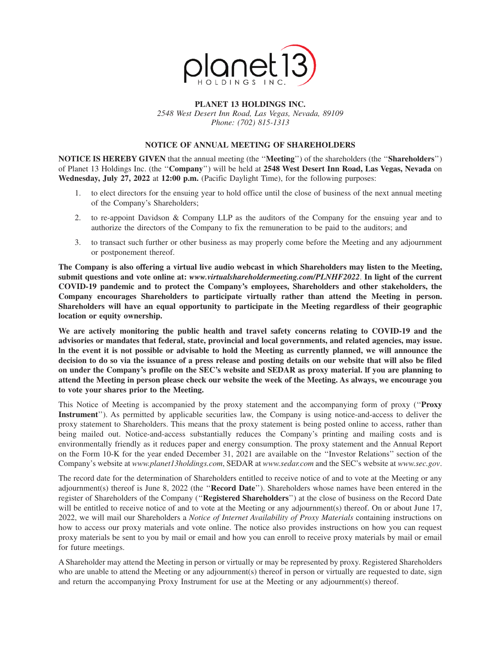

#### **PLANET 13 HOLDINGS INC.** *2548 West Desert Inn Road, Las Vegas, Nevada, 89109 Phone: (702) 815-1313*

## **NOTICE OF ANNUAL MEETING OF SHAREHOLDERS**

**NOTICE IS HEREBY GIVEN** that the annual meeting (the ''**Meeting**'') of the shareholders (the ''**Shareholders**'') of Planet 13 Holdings Inc. (the ''**Company**'') will be held at **2548 West Desert Inn Road, Las Vegas, Nevada** on **Wednesday, July 27, 2022** at **12:00 p.m.** (Pacific Daylight Time), for the following purposes:

- 1. to elect directors for the ensuing year to hold office until the close of business of the next annual meeting of the Company's Shareholders;
- 2. to re-appoint Davidson & Company LLP as the auditors of the Company for the ensuing year and to authorize the directors of the Company to fix the remuneration to be paid to the auditors; and
- 3. to transact such further or other business as may properly come before the Meeting and any adjournment or postponement thereof.

**The Company is also offering a virtual live audio webcast in which Shareholders may listen to the Meeting, submit questions and vote online at:** *www.virtualshareholdermeeting.com/PLNHF2022*. **In light of the current COVID-19 pandemic and to protect the Company's employees, Shareholders and other stakeholders, the Company encourages Shareholders to participate virtually rather than attend the Meeting in person. Shareholders will have an equal opportunity to participate in the Meeting regardless of their geographic location or equity ownership.**

**We are actively monitoring the public health and travel safety concerns relating to COVID-19 and the advisories or mandates that federal, state, provincial and local governments, and related agencies, may issue. ln the event it is not possible or advisable to hold the Meeting as currently planned, we will announce the decision to do so via the issuance of a press release and posting details on our website that will also be filed on under the Company's profile on the SEC's website and SEDAR as proxy material. lf you are planning to attend the Meeting in person please check our website the week of the Meeting. As always, we encourage you to vote your shares prior to the Meeting.**

This Notice of Meeting is accompanied by the proxy statement and the accompanying form of proxy (''**Proxy Instrument**''). As permitted by applicable securities law, the Company is using notice-and-access to deliver the proxy statement to Shareholders. This means that the proxy statement is being posted online to access, rather than being mailed out. Notice-and-access substantially reduces the Company's printing and mailing costs and is environmentally friendly as it reduces paper and energy consumption. The proxy statement and the Annual Report on the Form 10-K for the year ended December 31, 2021 are available on the ''Investor Relations'' section of the Company's website at *www.planet13holdings.com*, SEDAR at *www.sedar.com* and the SEC's website at *www.sec.gov*.

The record date for the determination of Shareholders entitled to receive notice of and to vote at the Meeting or any adjournment(s) thereof is June 8, 2022 (the ''**Record Date**''). Shareholders whose names have been entered in the register of Shareholders of the Company (''**Registered Shareholders**'') at the close of business on the Record Date will be entitled to receive notice of and to vote at the Meeting or any adjournment(s) thereof. On or about June 17, 2022, we will mail our Shareholders a *Notice of Internet Availability of Proxy Materials* containing instructions on how to access our proxy materials and vote online. The notice also provides instructions on how you can request proxy materials be sent to you by mail or email and how you can enroll to receive proxy materials by mail or email for future meetings.

A Shareholder may attend the Meeting in person or virtually or may be represented by proxy. Registered Shareholders who are unable to attend the Meeting or any adjournment(s) thereof in person or virtually are requested to date, sign and return the accompanying Proxy Instrument for use at the Meeting or any adjournment(s) thereof.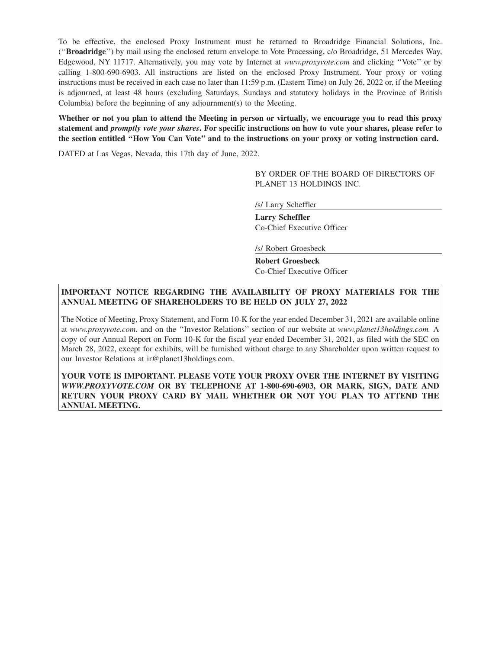To be effective, the enclosed Proxy Instrument must be returned to Broadridge Financial Solutions, Inc. (''**Broadridge**'') by mail using the enclosed return envelope to Vote Processing, c/o Broadridge, 51 Mercedes Way, Edgewood, NY 11717. Alternatively, you may vote by Internet at *www.proxyvote.com* and clicking ''Vote'' or by calling 1-800-690-6903. All instructions are listed on the enclosed Proxy Instrument. Your proxy or voting instructions must be received in each case no later than 11:59 p.m. (Eastern Time) on July 26, 2022 or, if the Meeting is adjourned, at least 48 hours (excluding Saturdays, Sundays and statutory holidays in the Province of British Columbia) before the beginning of any adjournment(s) to the Meeting.

**Whether or not you plan to attend the Meeting in person or virtually, we encourage you to read this proxy statement and** *promptly vote your shares***. For specific instructions on how to vote your shares, please refer to the section entitled ''How You Can Vote'' and to the instructions on your proxy or voting instruction card.**

DATED at Las Vegas, Nevada, this 17th day of June, 2022.

BY ORDER OF THE BOARD OF DIRECTORS OF PLANET 13 HOLDINGS INC.

/s/ Larry Scheffler

**Larry Scheffler** Co-Chief Executive Officer

/s/ Robert Groesbeck

**Robert Groesbeck** Co-Chief Executive Officer

### **IMPORTANT NOTICE REGARDING THE AVAILABILITY OF PROXY MATERIALS FOR THE ANNUAL MEETING OF SHAREHOLDERS TO BE HELD ON JULY 27, 2022**

The Notice of Meeting, Proxy Statement, and Form 10-K for the year ended December 31, 2021 are available online at *www.proxyvote.com*. and on the ''Investor Relations'' section of our website at *www.planet13holdings.com.* A copy of our Annual Report on Form 10-K for the fiscal year ended December 31, 2021, as filed with the SEC on March 28, 2022, except for exhibits, will be furnished without charge to any Shareholder upon written request to our Investor Relations at ir@planet13holdings.com.

**YOUR VOTE IS IMPORTANT. PLEASE VOTE YOUR PROXY OVER THE INTERNET BY VISITING** *WWW.PROXYVOTE.COM* **OR BY TELEPHONE AT 1-800-690-6903, OR MARK, SIGN, DATE AND RETURN YOUR PROXY CARD BY MAIL WHETHER OR NOT YOU PLAN TO ATTEND THE ANNUAL MEETING.**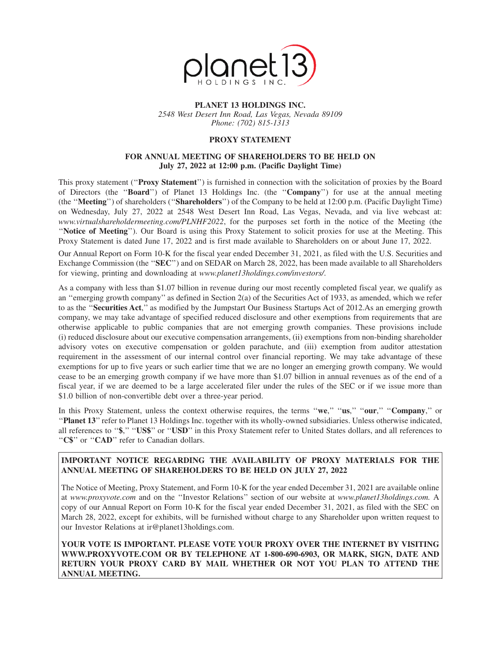

### **PLANET 13 HOLDINGS INC.**

*2548 West Desert Inn Road, Las Vegas, Nevada 89109 Phone: (702) 815-1313*

### **PROXY STATEMENT**

#### **FOR ANNUAL MEETING OF SHAREHOLDERS TO BE HELD ON July 27, 2022 at 12:00 p.m. (Pacific Daylight Time)**

This proxy statement (''**Proxy Statement**'') is furnished in connection with the solicitation of proxies by the Board of Directors (the ''**Board**'') of Planet 13 Holdings Inc. (the ''**Company**'') for use at the annual meeting (the ''**Meeting**'') of shareholders (''**Shareholders**'') of the Company to be held at 12:00 p.m. (Pacific Daylight Time) on Wednesday, July 27, 2022 at 2548 West Desert Inn Road, Las Vegas, Nevada, and via live webcast at: *www.virtualshareholdermeeting.com/PLNHF2022*, for the purposes set forth in the notice of the Meeting (the ''**Notice of Meeting**''). Our Board is using this Proxy Statement to solicit proxies for use at the Meeting. This Proxy Statement is dated June 17, 2022 and is first made available to Shareholders on or about June 17, 2022.

Our Annual Report on Form 10-K for the fiscal year ended December 31, 2021, as filed with the U.S. Securities and Exchange Commission (the "**SEC**") and on SEDAR on March 28, 2022, has been made available to all Shareholders for viewing, printing and downloading at *www.planet13holdings.com/investors/*.

As a company with less than \$1.07 billion in revenue during our most recently completed fiscal year, we qualify as an ''emerging growth company'' as defined in Section 2(a) of the Securities Act of 1933, as amended, which we refer to as the ''**Securities Act**,'' as modified by the Jumpstart Our Business Startups Act of 2012.As an emerging growth company, we may take advantage of specified reduced disclosure and other exemptions from requirements that are otherwise applicable to public companies that are not emerging growth companies. These provisions include (i) reduced disclosure about our executive compensation arrangements, (ii) exemptions from non-binding shareholder advisory votes on executive compensation or golden parachute, and (iii) exemption from auditor attestation requirement in the assessment of our internal control over financial reporting. We may take advantage of these exemptions for up to five years or such earlier time that we are no longer an emerging growth company. We would cease to be an emerging growth company if we have more than \$1.07 billion in annual revenues as of the end of a fiscal year, if we are deemed to be a large accelerated filer under the rules of the SEC or if we issue more than \$1.0 billion of non-convertible debt over a three-year period.

In this Proxy Statement, unless the context otherwise requires, the terms ''**we**,'' ''**us**,'' ''**our**,'' ''**Company**,'' or ''**Planet 13**'' refer to Planet 13 Holdings Inc. together with its wholly-owned subsidiaries. Unless otherwise indicated, all references to ''**\$**,'' ''**US\$**'' or ''**USD**'' in this Proxy Statement refer to United States dollars, and all references to "C\$" or "CAD" refer to Canadian dollars.

### **IMPORTANT NOTICE REGARDING THE AVAILABILITY OF PROXY MATERIALS FOR THE ANNUAL MEETING OF SHAREHOLDERS TO BE HELD ON JULY 27, 2022**

The Notice of Meeting, Proxy Statement, and Form 10-K for the year ended December 31, 2021 are available online at *www.proxyvote.com* and on the ''Investor Relations'' section of our website at *www.planet13holdings.com.* A copy of our Annual Report on Form 10-K for the fiscal year ended December 31, 2021, as filed with the SEC on March 28, 2022, except for exhibits, will be furnished without charge to any Shareholder upon written request to our Investor Relations at ir@planet13holdings.com.

**YOUR VOTE IS IMPORTANT. PLEASE VOTE YOUR PROXY OVER THE INTERNET BY VISITING WWW.PROXYVOTE.COM OR BY TELEPHONE AT 1-800-690-6903, OR MARK, SIGN, DATE AND RETURN YOUR PROXY CARD BY MAIL WHETHER OR NOT YOU PLAN TO ATTEND THE ANNUAL MEETING.**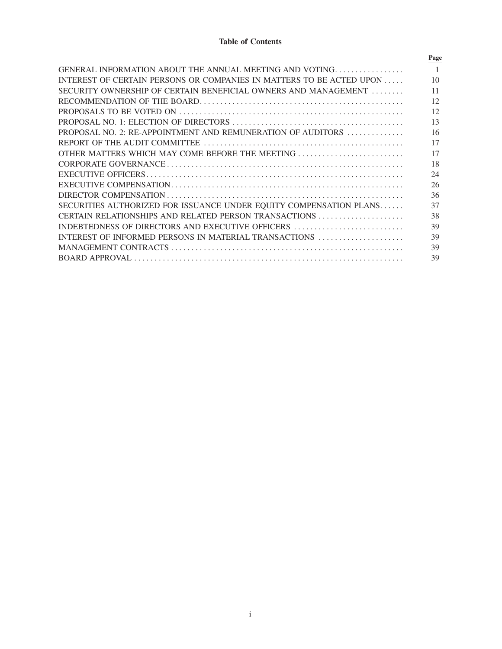### **Table of Contents**

| Page |
|------|
|      |
| 10   |
| 11   |
| 12   |
| 12   |
| 13   |
| 16   |
| 17   |
| 17   |
| 18   |
| 24   |
| 26   |
| 36   |
| 37   |
| 38   |
| 39   |
| 39   |
| 39   |
| 39   |
|      |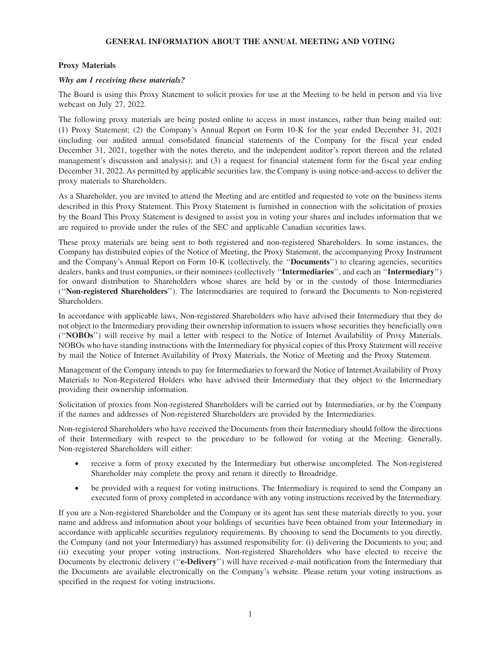### **GENERAL INFORMATION ABOUT THE ANNUAL MEETING AND VOTING**

#### **Proxy Materials**

#### *Why am I receiving these materials?*

The Board is using this Proxy Statement to solicit proxies for use at the Meeting to be held in person and via live webcast on July 27, 2022.

The following proxy materials are being posted online to access in most instances, rather than being mailed out: (1) Proxy Statement; (2) the Company's Annual Report on Form 10-K for the year ended December 31, 2021 (including our audited annual consolidated financial statements of the Company for the fiscal year ended December 31, 2021, together with the notes thereto, and the independent auditor's report thereon and the related management's discussion and analysis); and (3) a request for financial statement form for the fiscal year ending December 31, 2022. As permitted by applicable securities law, the Company is using notice-and-access to deliver the proxy materials to Shareholders.

As a Shareholder, you are invited to attend the Meeting and are entitled and requested to vote on the business items described in this Proxy Statement. This Proxy Statement is furnished in connection with the solicitation of proxies by the Board This Proxy Statement is designed to assist you in voting your shares and includes information that we are required to provide under the rules of the SEC and applicable Canadian securities laws.

These proxy materials are being sent to both registered and non-registered Shareholders. In some instances, the Company has distributed copies of the Notice of Meeting, the Proxy Statement, the accompanying Proxy Instrument and the Company's Annual Report on Form 10-K (collectively, the ''**Documents**'') to clearing agencies, securities dealers, banks and trust companies, or their nominees (collectively ''**Intermediaries**'', and each an ''**Intermediary**'') for onward distribution to Shareholders whose shares are held by or in the custody of those Intermediaries (''**Non-registered Shareholders**''). The Intermediaries are required to forward the Documents to Non-registered Shareholders.

In accordance with applicable laws, Non-registered Shareholders who have advised their Intermediary that they do not object to the Intermediary providing their ownership information to issuers whose securities they beneficially own (''**NOBOs**'') will receive by mail a letter with respect to the Notice of Internet Availability of Proxy Materials. NOBOs who have standing instructions with the Intermediary for physical copies of this Proxy Statement will receive by mail the Notice of Internet Availability of Proxy Materials, the Notice of Meeting and the Proxy Statement.

Management of the Company intends to pay for Intermediaries to forward the Notice of Internet Availability of Proxy Materials to Non-Registered Holders who have advised their Intermediary that they object to the Intermediary providing their ownership information.

Solicitation of proxies from Non-registered Shareholders will be carried out by Intermediaries, or by the Company if the names and addresses of Non-registered Shareholders are provided by the Intermediaries.

Non-registered Shareholders who have received the Documents from their Intermediary should follow the directions of their Intermediary with respect to the procedure to be followed for voting at the Meeting. Generally, Non-registered Shareholders will either:

- receive a form of proxy executed by the Intermediary but otherwise uncompleted. The Non-registered Shareholder may complete the proxy and return it directly to Broadridge.
- be provided with a request for voting instructions. The Intermediary is required to send the Company an executed form of proxy completed in accordance with any voting instructions received by the Intermediary.

If you are a Non-registered Shareholder and the Company or its agent has sent these materials directly to you, your name and address and information about your holdings of securities have been obtained from your Intermediary in accordance with applicable securities regulatory requirements. By choosing to send the Documents to you directly, the Company (and not your Intermediary) has assumed responsibility for: (i) delivering the Documents to you; and (ii) executing your proper voting instructions. Non-registered Shareholders who have elected to receive the Documents by electronic delivery (''**e-Delivery**'') will have received e-mail notification from the Intermediary that the Documents are available electronically on the Company's website. Please return your voting instructions as specified in the request for voting instructions.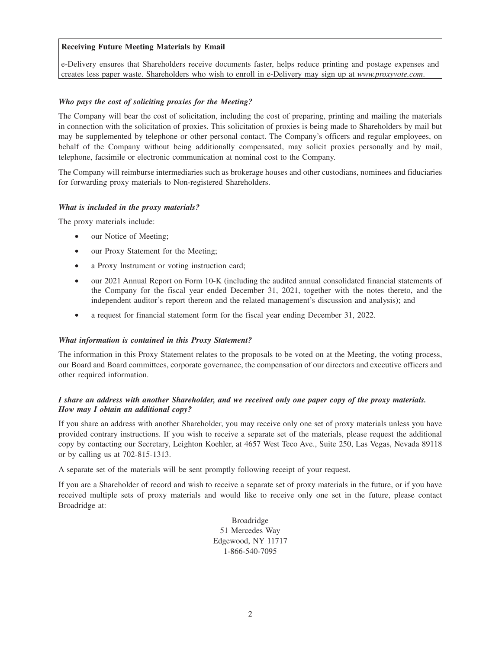### **Receiving Future Meeting Materials by Email**

e-Delivery ensures that Shareholders receive documents faster, helps reduce printing and postage expenses and creates less paper waste. Shareholders who wish to enroll in e-Delivery may sign up at *www.proxyvote.com*.

#### *Who pays the cost of soliciting proxies for the Meeting?*

The Company will bear the cost of solicitation, including the cost of preparing, printing and mailing the materials in connection with the solicitation of proxies. This solicitation of proxies is being made to Shareholders by mail but may be supplemented by telephone or other personal contact. The Company's officers and regular employees, on behalf of the Company without being additionally compensated, may solicit proxies personally and by mail, telephone, facsimile or electronic communication at nominal cost to the Company.

The Company will reimburse intermediaries such as brokerage houses and other custodians, nominees and fiduciaries for forwarding proxy materials to Non-registered Shareholders.

#### *What is included in the proxy materials?*

The proxy materials include:

- our Notice of Meeting;
- our Proxy Statement for the Meeting;
- a Proxy Instrument or voting instruction card;
- our 2021 Annual Report on Form 10-K (including the audited annual consolidated financial statements of the Company for the fiscal year ended December 31, 2021, together with the notes thereto, and the independent auditor's report thereon and the related management's discussion and analysis); and
- a request for financial statement form for the fiscal year ending December 31, 2022.

#### *What information is contained in this Proxy Statement?*

The information in this Proxy Statement relates to the proposals to be voted on at the Meeting, the voting process, our Board and Board committees, corporate governance, the compensation of our directors and executive officers and other required information.

### *I share an address with another Shareholder, and we received only one paper copy of the proxy materials. How may I obtain an additional copy?*

If you share an address with another Shareholder, you may receive only one set of proxy materials unless you have provided contrary instructions. If you wish to receive a separate set of the materials, please request the additional copy by contacting our Secretary, Leighton Koehler, at 4657 West Teco Ave., Suite 250, Las Vegas, Nevada 89118 or by calling us at 702-815-1313.

A separate set of the materials will be sent promptly following receipt of your request.

If you are a Shareholder of record and wish to receive a separate set of proxy materials in the future, or if you have received multiple sets of proxy materials and would like to receive only one set in the future, please contact Broadridge at:

> Broadridge 51 Mercedes Way Edgewood, NY 11717 1-866-540-7095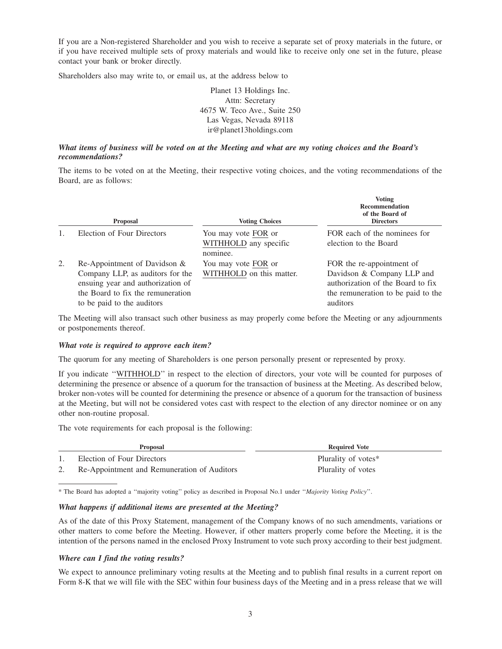If you are a Non-registered Shareholder and you wish to receive a separate set of proxy materials in the future, or if you have received multiple sets of proxy materials and would like to receive only one set in the future, please contact your bank or broker directly.

Shareholders also may write to, or email us, at the address below to

Planet 13 Holdings Inc. Attn: Secretary 4675 W. Teco Ave., Suite 250 Las Vegas, Nevada 89118 ir@planet13holdings.com

### *What items of business will be voted on at the Meeting and what are my voting choices and the Board's recommendations?*

The items to be voted on at the Meeting, their respective voting choices, and the voting recommendations of the Board, are as follows:

|    | <b>Proposal</b>                                                                                                                                                            | <b>Voting Choices</b>                                    | <b>Voting</b><br><b>Recommendation</b><br>of the Board of<br><b>Directors</b>                                                                  |
|----|----------------------------------------------------------------------------------------------------------------------------------------------------------------------------|----------------------------------------------------------|------------------------------------------------------------------------------------------------------------------------------------------------|
|    | Election of Four Directors                                                                                                                                                 | You may vote FOR or<br>WITHHOLD any specific<br>nominee. | FOR each of the nominees for<br>election to the Board                                                                                          |
| 2. | Re-Appointment of Davidson $&$<br>Company LLP, as auditors for the<br>ensuing year and authorization of<br>the Board to fix the remuneration<br>to be paid to the auditors | You may vote FOR or<br>WITHHOLD on this matter.          | FOR the re-appointment of<br>Davidson & Company LLP and<br>authorization of the Board to fix<br>the remuneration to be paid to the<br>auditors |

The Meeting will also transact such other business as may properly come before the Meeting or any adjournments or postponements thereof.

#### *What vote is required to approve each item?*

The quorum for any meeting of Shareholders is one person personally present or represented by proxy.

If you indicate ''WITHHOLD'' in respect to the election of directors, your vote will be counted for purposes of determining the presence or absence of a quorum for the transaction of business at the Meeting. As described below, broker non-votes will be counted for determining the presence or absence of a quorum for the transaction of business at the Meeting, but will not be considered votes cast with respect to the election of any director nominee or on any other non-routine proposal.

The vote requirements for each proposal is the following:

| <b>Proposal</b>                                                           | <b>Required Vote</b>                      |
|---------------------------------------------------------------------------|-------------------------------------------|
| Election of Four Directors<br>Re-Appointment and Remuneration of Auditors | Plurality of votes*<br>Plurality of votes |

\* The Board has adopted a ''majority voting'' policy as described in Proposal No.1 under ''*Majority Voting Policy*''.

### *What happens if additional items are presented at the Meeting?*

As of the date of this Proxy Statement, management of the Company knows of no such amendments, variations or other matters to come before the Meeting. However, if other matters properly come before the Meeting, it is the intention of the persons named in the enclosed Proxy Instrument to vote such proxy according to their best judgment.

### *Where can I find the voting results?*

We expect to announce preliminary voting results at the Meeting and to publish final results in a current report on Form 8-K that we will file with the SEC within four business days of the Meeting and in a press release that we will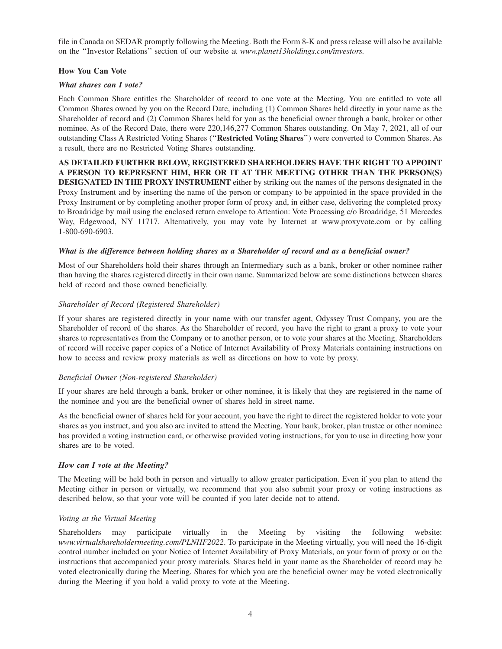file in Canada on SEDAR promptly following the Meeting. Both the Form 8-K and press release will also be available on the ''Investor Relations'' section of our website at *www.planet13holdings.com/investors.*

### **How You Can Vote**

### *What shares can I vote?*

Each Common Share entitles the Shareholder of record to one vote at the Meeting. You are entitled to vote all Common Shares owned by you on the Record Date, including (1) Common Shares held directly in your name as the Shareholder of record and (2) Common Shares held for you as the beneficial owner through a bank, broker or other nominee. As of the Record Date, there were 220,146,277 Common Shares outstanding. On May 7, 2021, all of our outstanding Class A Restricted Voting Shares (''**Restricted Voting Shares**'') were converted to Common Shares. As a result, there are no Restricted Voting Shares outstanding.

**AS DETAILED FURTHER BELOW, REGISTERED SHAREHOLDERS HAVE THE RIGHT TO APPOINT A PERSON TO REPRESENT HIM, HER OR IT AT THE MEETING OTHER THAN THE PERSON(S) DESIGNATED IN THE PROXY INSTRUMENT** either by striking out the names of the persons designated in the Proxy Instrument and by inserting the name of the person or company to be appointed in the space provided in the Proxy Instrument or by completing another proper form of proxy and, in either case, delivering the completed proxy to Broadridge by mail using the enclosed return envelope to Attention: Vote Processing c/o Broadridge, 51 Mercedes Way, Edgewood, NY 11717. Alternatively, you may vote by Internet at www.proxyvote.com or by calling 1-800-690-6903.

### *What is the difference between holding shares as a Shareholder of record and as a beneficial owner?*

Most of our Shareholders hold their shares through an Intermediary such as a bank, broker or other nominee rather than having the shares registered directly in their own name. Summarized below are some distinctions between shares held of record and those owned beneficially.

### *Shareholder of Record (Registered Shareholder)*

If your shares are registered directly in your name with our transfer agent, Odyssey Trust Company, you are the Shareholder of record of the shares. As the Shareholder of record, you have the right to grant a proxy to vote your shares to representatives from the Company or to another person, or to vote your shares at the Meeting. Shareholders of record will receive paper copies of a Notice of Internet Availability of Proxy Materials containing instructions on how to access and review proxy materials as well as directions on how to vote by proxy.

#### *Beneficial Owner (Non-registered Shareholder)*

If your shares are held through a bank, broker or other nominee, it is likely that they are registered in the name of the nominee and you are the beneficial owner of shares held in street name.

As the beneficial owner of shares held for your account, you have the right to direct the registered holder to vote your shares as you instruct, and you also are invited to attend the Meeting. Your bank, broker, plan trustee or other nominee has provided a voting instruction card, or otherwise provided voting instructions, for you to use in directing how your shares are to be voted.

#### *How can I vote at the Meeting?*

The Meeting will be held both in person and virtually to allow greater participation. Even if you plan to attend the Meeting either in person or virtually, we recommend that you also submit your proxy or voting instructions as described below, so that your vote will be counted if you later decide not to attend.

### *Voting at the Virtual Meeting*

Shareholders may participate virtually in the Meeting by visiting the following website: *www.virtualshareholdermeeting.com/PLNHF2022*. To participate in the Meeting virtually, you will need the 16-digit control number included on your Notice of Internet Availability of Proxy Materials, on your form of proxy or on the instructions that accompanied your proxy materials. Shares held in your name as the Shareholder of record may be voted electronically during the Meeting. Shares for which you are the beneficial owner may be voted electronically during the Meeting if you hold a valid proxy to vote at the Meeting.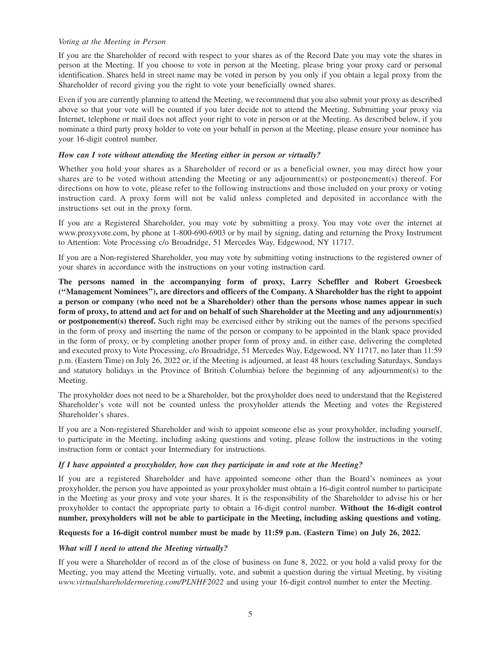#### *Voting at the Meeting in Person*

If you are the Shareholder of record with respect to your shares as of the Record Date you may vote the shares in person at the Meeting. If you choose to vote in person at the Meeting, please bring your proxy card or personal identification. Shares held in street name may be voted in person by you only if you obtain a legal proxy from the Shareholder of record giving you the right to vote your beneficially owned shares.

Even if you are currently planning to attend the Meeting, we recommend that you also submit your proxy as described above so that your vote will be counted if you later decide not to attend the Meeting. Submitting your proxy via Internet, telephone or mail does not affect your right to vote in person or at the Meeting. As described below, if you nominate a third party proxy holder to vote on your behalf in person at the Meeting, please ensure your nominee has your 16-digit control number.

### *How can I vote without attending the Meeting either in person or virtually?*

Whether you hold your shares as a Shareholder of record or as a beneficial owner, you may direct how your shares are to be voted without attending the Meeting or any adjournment(s) or postponement(s) thereof. For directions on how to vote, please refer to the following instructions and those included on your proxy or voting instruction card. A proxy form will not be valid unless completed and deposited in accordance with the instructions set out in the proxy form.

If you are a Registered Shareholder, you may vote by submitting a proxy. You may vote over the internet at www.proxyvote.com, by phone at 1-800-690-6903 or by mail by signing, dating and returning the Proxy Instrument to Attention: Vote Processing c/o Broadridge, 51 Mercedes Way, Edgewood, NY 11717.

If you are a Non-registered Shareholder, you may vote by submitting voting instructions to the registered owner of your shares in accordance with the instructions on your voting instruction card.

**The persons named in the accompanying form of proxy, Larry Scheffler and Robert Groesbeck (''Management Nominees''), are directors and officers of the Company. A Shareholder has the right to appoint a person or company (who need not be a Shareholder) other than the persons whose names appear in such form of proxy, to attend and act for and on behalf of such Shareholder at the Meeting and any adjournment(s) or postponement(s) thereof.** Such right may be exercised either by striking out the names of the persons specified in the form of proxy and inserting the name of the person or company to be appointed in the blank space provided in the form of proxy, or by completing another proper form of proxy and, in either case, delivering the completed and executed proxy to Vote Processing, c/o Broadridge, 51 Mercedes Way, Edgewood, NY 11717, no later than 11:59 p.m. (Eastern Time) on July 26, 2022 or, if the Meeting is adjourned, at least 48 hours (excluding Saturdays, Sundays and statutory holidays in the Province of British Columbia) before the beginning of any adjournment(s) to the Meeting.

The proxyholder does not need to be a Shareholder, but the proxyholder does need to understand that the Registered Shareholder's vote will not be counted unless the proxyholder attends the Meeting and votes the Registered Shareholder's shares.

If you are a Non-registered Shareholder and wish to appoint someone else as your proxyholder, including yourself, to participate in the Meeting, including asking questions and voting, please follow the instructions in the voting instruction form or contact your Intermediary for instructions.

### *If I have appointed a proxyholder, how can they participate in and vote at the Meeting?*

If you are a registered Shareholder and have appointed someone other than the Board's nominees as your proxyholder, the person you have appointed as your proxyholder must obtain a 16-digit control number to participate in the Meeting as your proxy and vote your shares. It is the responsibility of the Shareholder to advise his or her proxyholder to contact the appropriate party to obtain a 16-digit control number. **Without the 16-digit control number, proxyholders will not be able to participate in the Meeting, including asking questions and voting.**

### **Requests for a 16-digit control number must be made by 11:59 p.m. (Eastern Time) on July 26, 2022.**

### *What will I need to attend the Meeting virtually?*

If you were a Shareholder of record as of the close of business on June 8, 2022, or you hold a valid proxy for the Meeting, you may attend the Meeting virtually, vote, and submit a question during the virtual Meeting, by visiting *www.virtualshareholdermeeting.com/PLNHF2022* and using your 16-digit control number to enter the Meeting.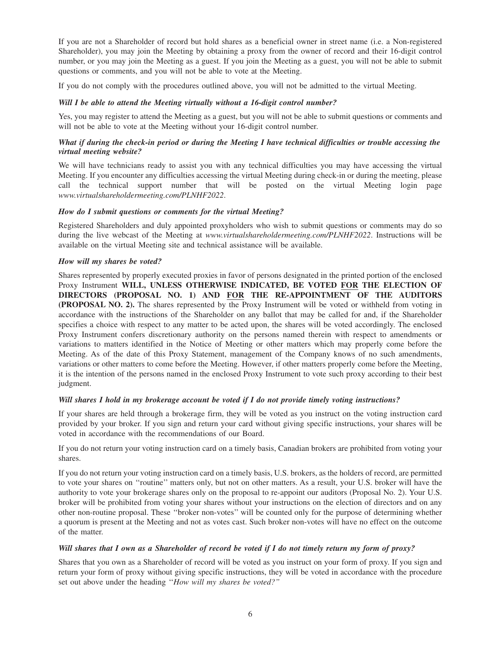If you are not a Shareholder of record but hold shares as a beneficial owner in street name (i.e. a Non-registered Shareholder), you may join the Meeting by obtaining a proxy from the owner of record and their 16-digit control number, or you may join the Meeting as a guest. If you join the Meeting as a guest, you will not be able to submit questions or comments, and you will not be able to vote at the Meeting.

If you do not comply with the procedures outlined above, you will not be admitted to the virtual Meeting.

### *Will I be able to attend the Meeting virtually without a 16-digit control number?*

Yes, you may register to attend the Meeting as a guest, but you will not be able to submit questions or comments and will not be able to vote at the Meeting without your 16-digit control number.

### *What if during the check-in period or during the Meeting I have technical difficulties or trouble accessing the virtual meeting website?*

We will have technicians ready to assist you with any technical difficulties you may have accessing the virtual Meeting. If you encounter any difficulties accessing the virtual Meeting during check-in or during the meeting, please call the technical support number that will be posted on the virtual Meeting login page *www.virtualshareholdermeeting.com/PLNHF2022*.

### *How do I submit questions or comments for the virtual Meeting?*

Registered Shareholders and duly appointed proxyholders who wish to submit questions or comments may do so during the live webcast of the Meeting at *www.virtualshareholdermeeting.com/PLNHF2022*. Instructions will be available on the virtual Meeting site and technical assistance will be available.

### *How will my shares be voted?*

Shares represented by properly executed proxies in favor of persons designated in the printed portion of the enclosed Proxy Instrument **WILL, UNLESS OTHERWISE INDICATED, BE VOTED FOR THE ELECTION OF DIRECTORS (PROPOSAL NO. 1) AND FOR THE RE-APPOINTMENT OF THE AUDITORS (PROPOSAL NO. 2).** The shares represented by the Proxy Instrument will be voted or withheld from voting in accordance with the instructions of the Shareholder on any ballot that may be called for and, if the Shareholder specifies a choice with respect to any matter to be acted upon, the shares will be voted accordingly. The enclosed Proxy Instrument confers discretionary authority on the persons named therein with respect to amendments or variations to matters identified in the Notice of Meeting or other matters which may properly come before the Meeting. As of the date of this Proxy Statement, management of the Company knows of no such amendments, variations or other matters to come before the Meeting. However, if other matters properly come before the Meeting, it is the intention of the persons named in the enclosed Proxy Instrument to vote such proxy according to their best judgment.

#### *Will shares I hold in my brokerage account be voted if I do not provide timely voting instructions?*

If your shares are held through a brokerage firm, they will be voted as you instruct on the voting instruction card provided by your broker. If you sign and return your card without giving specific instructions, your shares will be voted in accordance with the recommendations of our Board.

If you do not return your voting instruction card on a timely basis, Canadian brokers are prohibited from voting your shares.

If you do not return your voting instruction card on a timely basis, U.S. brokers, as the holders of record, are permitted to vote your shares on ''routine'' matters only, but not on other matters. As a result, your U.S. broker will have the authority to vote your brokerage shares only on the proposal to re-appoint our auditors (Proposal No. 2). Your U.S. broker will be prohibited from voting your shares without your instructions on the election of directors and on any other non-routine proposal. These ''broker non-votes'' will be counted only for the purpose of determining whether a quorum is present at the Meeting and not as votes cast. Such broker non-votes will have no effect on the outcome of the matter.

### *Will shares that I own as a Shareholder of record be voted if I do not timely return my form of proxy?*

Shares that you own as a Shareholder of record will be voted as you instruct on your form of proxy. If you sign and return your form of proxy without giving specific instructions, they will be voted in accordance with the procedure set out above under the heading ''*How will my shares be voted?''*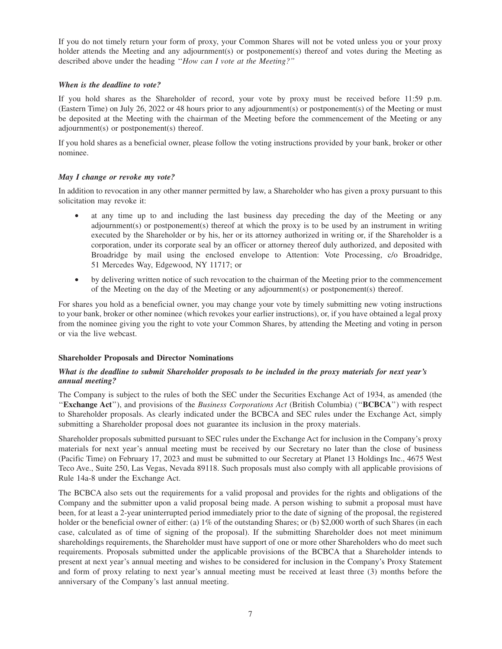If you do not timely return your form of proxy, your Common Shares will not be voted unless you or your proxy holder attends the Meeting and any adjournment(s) or postponement(s) thereof and votes during the Meeting as described above under the heading ''*How can I vote at the Meeting?''*

### *When is the deadline to vote?*

If you hold shares as the Shareholder of record, your vote by proxy must be received before 11:59 p.m. (Eastern Time) on July 26, 2022 or 48 hours prior to any adjournment(s) or postponement(s) of the Meeting or must be deposited at the Meeting with the chairman of the Meeting before the commencement of the Meeting or any adjournment(s) or postponement(s) thereof.

If you hold shares as a beneficial owner, please follow the voting instructions provided by your bank, broker or other nominee.

### *May I change or revoke my vote?*

In addition to revocation in any other manner permitted by law, a Shareholder who has given a proxy pursuant to this solicitation may revoke it:

- at any time up to and including the last business day preceding the day of the Meeting or any adjournment(s) or postponement(s) thereof at which the proxy is to be used by an instrument in writing executed by the Shareholder or by his, her or its attorney authorized in writing or, if the Shareholder is a corporation, under its corporate seal by an officer or attorney thereof duly authorized, and deposited with Broadridge by mail using the enclosed envelope to Attention: Vote Processing, c/o Broadridge, 51 Mercedes Way, Edgewood, NY 11717; or
- by delivering written notice of such revocation to the chairman of the Meeting prior to the commencement of the Meeting on the day of the Meeting or any adjournment(s) or postponement(s) thereof.

For shares you hold as a beneficial owner, you may change your vote by timely submitting new voting instructions to your bank, broker or other nominee (which revokes your earlier instructions), or, if you have obtained a legal proxy from the nominee giving you the right to vote your Common Shares, by attending the Meeting and voting in person or via the live webcast.

### **Shareholder Proposals and Director Nominations**

### *What is the deadline to submit Shareholder proposals to be included in the proxy materials for next year's annual meeting?*

The Company is subject to the rules of both the SEC under the Securities Exchange Act of 1934, as amended (the ''**Exchange Act**''), and provisions of the *Business Corporations Act* (British Columbia) (''**BCBCA**'') with respect to Shareholder proposals. As clearly indicated under the BCBCA and SEC rules under the Exchange Act, simply submitting a Shareholder proposal does not guarantee its inclusion in the proxy materials.

Shareholder proposals submitted pursuant to SEC rules under the Exchange Act for inclusion in the Company's proxy materials for next year's annual meeting must be received by our Secretary no later than the close of business (Pacific Time) on February 17, 2023 and must be submitted to our Secretary at Planet 13 Holdings Inc., 4675 West Teco Ave., Suite 250, Las Vegas, Nevada 89118. Such proposals must also comply with all applicable provisions of Rule 14a-8 under the Exchange Act.

The BCBCA also sets out the requirements for a valid proposal and provides for the rights and obligations of the Company and the submitter upon a valid proposal being made. A person wishing to submit a proposal must have been, for at least a 2-year uninterrupted period immediately prior to the date of signing of the proposal, the registered holder or the beneficial owner of either: (a) 1% of the outstanding Shares; or (b) \$2,000 worth of such Shares (in each case, calculated as of time of signing of the proposal). If the submitting Shareholder does not meet minimum shareholdings requirements, the Shareholder must have support of one or more other Shareholders who do meet such requirements. Proposals submitted under the applicable provisions of the BCBCA that a Shareholder intends to present at next year's annual meeting and wishes to be considered for inclusion in the Company's Proxy Statement and form of proxy relating to next year's annual meeting must be received at least three (3) months before the anniversary of the Company's last annual meeting.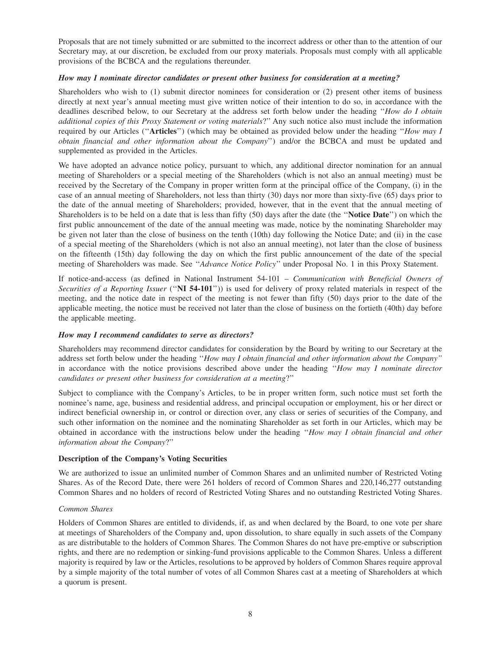Proposals that are not timely submitted or are submitted to the incorrect address or other than to the attention of our Secretary may, at our discretion, be excluded from our proxy materials. Proposals must comply with all applicable provisions of the BCBCA and the regulations thereunder.

### *How may I nominate director candidates or present other business for consideration at a meeting?*

Shareholders who wish to (1) submit director nominees for consideration or (2) present other items of business directly at next year's annual meeting must give written notice of their intention to do so, in accordance with the deadlines described below, to our Secretary at the address set forth below under the heading ''*How do I obtain additional copies of this Proxy Statement or voting materials*?'' Any such notice also must include the information required by our Articles (''**Articles**'') (which may be obtained as provided below under the heading ''*How may I obtain financial and other information about the Company*'') and/or the BCBCA and must be updated and supplemented as provided in the Articles.

We have adopted an advance notice policy, pursuant to which, any additional director nomination for an annual meeting of Shareholders or a special meeting of the Shareholders (which is not also an annual meeting) must be received by the Secretary of the Company in proper written form at the principal office of the Company, (i) in the case of an annual meeting of Shareholders, not less than thirty (30) days nor more than sixty-five (65) days prior to the date of the annual meeting of Shareholders; provided, however, that in the event that the annual meeting of Shareholders is to be held on a date that is less than fifty (50) days after the date (the ''**Notice Date**'') on which the first public announcement of the date of the annual meeting was made, notice by the nominating Shareholder may be given not later than the close of business on the tenth (10th) day following the Notice Date; and (ii) in the case of a special meeting of the Shareholders (which is not also an annual meeting), not later than the close of business on the fifteenth (15th) day following the day on which the first public announcement of the date of the special meeting of Shareholders was made. See ''*Advance Notice Policy*'' under Proposal No. 1 in this Proxy Statement.

If notice-and-access (as defined in National Instrument 54-101 – *Communication with Beneficial Owners of Securities of a Reporting Issuer* (''**NI 54-101**'')) is used for delivery of proxy related materials in respect of the meeting, and the notice date in respect of the meeting is not fewer than fifty (50) days prior to the date of the applicable meeting, the notice must be received not later than the close of business on the fortieth (40th) day before the applicable meeting.

### *How may I recommend candidates to serve as directors?*

Shareholders may recommend director candidates for consideration by the Board by writing to our Secretary at the address set forth below under the heading ''*How may I obtain financial and other information about the Company''* in accordance with the notice provisions described above under the heading ''*How may I nominate director candidates or present other business for consideration at a meeting*?''

Subject to compliance with the Company's Articles, to be in proper written form, such notice must set forth the nominee's name, age, business and residential address, and principal occupation or employment, his or her direct or indirect beneficial ownership in, or control or direction over, any class or series of securities of the Company, and such other information on the nominee and the nominating Shareholder as set forth in our Articles, which may be obtained in accordance with the instructions below under the heading ''*How may I obtain financial and other information about the Company*?''

### **Description of the Company's Voting Securities**

We are authorized to issue an unlimited number of Common Shares and an unlimited number of Restricted Voting Shares. As of the Record Date, there were 261 holders of record of Common Shares and 220,146,277 outstanding Common Shares and no holders of record of Restricted Voting Shares and no outstanding Restricted Voting Shares.

### *Common Shares*

Holders of Common Shares are entitled to dividends, if, as and when declared by the Board, to one vote per share at meetings of Shareholders of the Company and, upon dissolution, to share equally in such assets of the Company as are distributable to the holders of Common Shares. The Common Shares do not have pre-emptive or subscription rights, and there are no redemption or sinking-fund provisions applicable to the Common Shares. Unless a different majority is required by law or the Articles, resolutions to be approved by holders of Common Shares require approval by a simple majority of the total number of votes of all Common Shares cast at a meeting of Shareholders at which a quorum is present.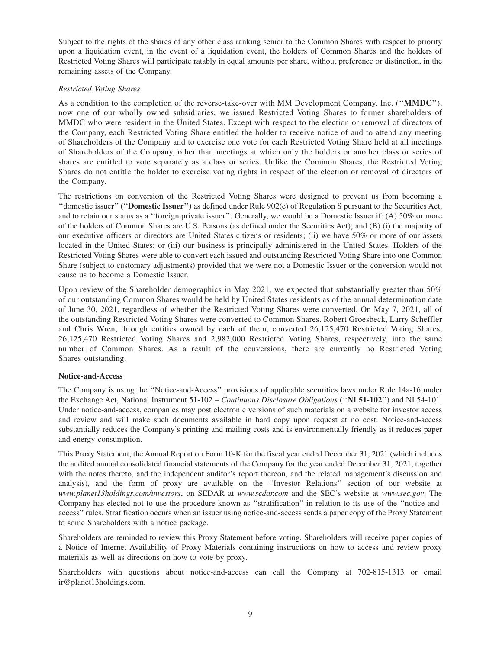Subject to the rights of the shares of any other class ranking senior to the Common Shares with respect to priority upon a liquidation event, in the event of a liquidation event, the holders of Common Shares and the holders of Restricted Voting Shares will participate ratably in equal amounts per share, without preference or distinction, in the remaining assets of the Company.

### *Restricted Voting Shares*

As a condition to the completion of the reverse-take-over with MM Development Company, Inc. (''**MMDC**''), now one of our wholly owned subsidiaries, we issued Restricted Voting Shares to former shareholders of MMDC who were resident in the United States. Except with respect to the election or removal of directors of the Company, each Restricted Voting Share entitled the holder to receive notice of and to attend any meeting of Shareholders of the Company and to exercise one vote for each Restricted Voting Share held at all meetings of Shareholders of the Company, other than meetings at which only the holders or another class or series of shares are entitled to vote separately as a class or series. Unlike the Common Shares, the Restricted Voting Shares do not entitle the holder to exercise voting rights in respect of the election or removal of directors of the Company.

The restrictions on conversion of the Restricted Voting Shares were designed to prevent us from becoming a ''domestic issuer'' (''**Domestic Issuer'')** as defined under Rule 902(e) of Regulation S pursuant to the Securities Act, and to retain our status as a ''foreign private issuer''. Generally, we would be a Domestic Issuer if: (A) 50% or more of the holders of Common Shares are U.S. Persons (as defined under the Securities Act); and (B) (i) the majority of our executive officers or directors are United States citizens or residents; (ii) we have 50% or more of our assets located in the United States; or (iii) our business is principally administered in the United States. Holders of the Restricted Voting Shares were able to convert each issued and outstanding Restricted Voting Share into one Common Share (subject to customary adjustments) provided that we were not a Domestic Issuer or the conversion would not cause us to become a Domestic Issuer.

Upon review of the Shareholder demographics in May 2021, we expected that substantially greater than 50% of our outstanding Common Shares would be held by United States residents as of the annual determination date of June 30, 2021, regardless of whether the Restricted Voting Shares were converted. On May 7, 2021, all of the outstanding Restricted Voting Shares were converted to Common Shares. Robert Groesbeck, Larry Scheffler and Chris Wren, through entities owned by each of them, converted 26,125,470 Restricted Voting Shares, 26,125,470 Restricted Voting Shares and 2,982,000 Restricted Voting Shares, respectively, into the same number of Common Shares. As a result of the conversions, there are currently no Restricted Voting Shares outstanding.

#### **Notice-and-Access**

The Company is using the ''Notice-and-Access'' provisions of applicable securities laws under Rule 14a-16 under the Exchange Act, National Instrument 51-102 – *Continuous Disclosure Obligations* (''**NI 51-102**'') and NI 54-101. Under notice-and-access, companies may post electronic versions of such materials on a website for investor access and review and will make such documents available in hard copy upon request at no cost. Notice-and-access substantially reduces the Company's printing and mailing costs and is environmentally friendly as it reduces paper and energy consumption.

This Proxy Statement, the Annual Report on Form 10-K for the fiscal year ended December 31, 2021 (which includes the audited annual consolidated financial statements of the Company for the year ended December 31, 2021, together with the notes thereto, and the independent auditor's report thereon, and the related management's discussion and analysis), and the form of proxy are available on the ''Investor Relations'' section of our website at *www.planet13holdings.com/investors*, on SEDAR at *www.sedar.com* and the SEC's website at *www.sec.gov*. The Company has elected not to use the procedure known as ''stratification'' in relation to its use of the ''notice-andaccess'' rules. Stratification occurs when an issuer using notice-and-access sends a paper copy of the Proxy Statement to some Shareholders with a notice package.

Shareholders are reminded to review this Proxy Statement before voting. Shareholders will receive paper copies of a Notice of Internet Availability of Proxy Materials containing instructions on how to access and review proxy materials as well as directions on how to vote by proxy.

Shareholders with questions about notice-and-access can call the Company at 702-815-1313 or email ir@planet13holdings.com.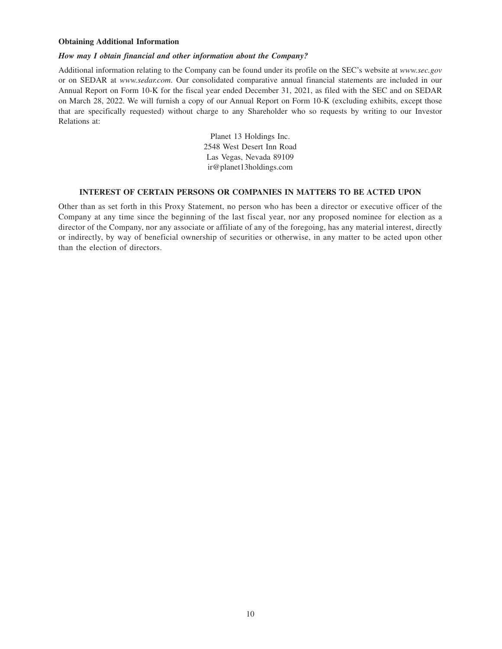### **Obtaining Additional Information**

### *How may I obtain financial and other information about the Company?*

Additional information relating to the Company can be found under its profile on the SEC's website at *www.sec.gov* or on SEDAR at *www.sedar.com*. Our consolidated comparative annual financial statements are included in our Annual Report on Form 10-K for the fiscal year ended December 31, 2021, as filed with the SEC and on SEDAR on March 28, 2022. We will furnish a copy of our Annual Report on Form 10-K (excluding exhibits, except those that are specifically requested) without charge to any Shareholder who so requests by writing to our Investor Relations at:

> Planet 13 Holdings Inc. 2548 West Desert Inn Road Las Vegas, Nevada 89109 ir@planet13holdings.com

#### **INTEREST OF CERTAIN PERSONS OR COMPANIES IN MATTERS TO BE ACTED UPON**

Other than as set forth in this Proxy Statement, no person who has been a director or executive officer of the Company at any time since the beginning of the last fiscal year, nor any proposed nominee for election as a director of the Company, nor any associate or affiliate of any of the foregoing, has any material interest, directly or indirectly, by way of beneficial ownership of securities or otherwise, in any matter to be acted upon other than the election of directors.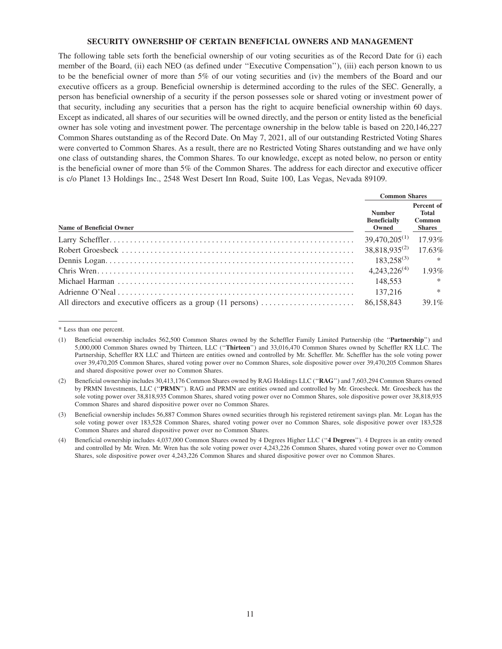#### **SECURITY OWNERSHIP OF CERTAIN BENEFICIAL OWNERS AND MANAGEMENT**

The following table sets forth the beneficial ownership of our voting securities as of the Record Date for (i) each member of the Board, (ii) each NEO (as defined under ''Executive Compensation''), (iii) each person known to us to be the beneficial owner of more than 5% of our voting securities and (iv) the members of the Board and our executive officers as a group. Beneficial ownership is determined according to the rules of the SEC. Generally, a person has beneficial ownership of a security if the person possesses sole or shared voting or investment power of that security, including any securities that a person has the right to acquire beneficial ownership within 60 days. Except as indicated, all shares of our securities will be owned directly, and the person or entity listed as the beneficial owner has sole voting and investment power. The percentage ownership in the below table is based on 220,146,227 Common Shares outstanding as of the Record Date. On May 7, 2021, all of our outstanding Restricted Voting Shares were converted to Common Shares. As a result, there are no Restricted Voting Shares outstanding and we have only one class of outstanding shares, the Common Shares. To our knowledge, except as noted below, no person or entity is the beneficial owner of more than 5% of the Common Shares. The address for each director and executive officer is c/o Planet 13 Holdings Inc., 2548 West Desert Inn Road, Suite 100, Las Vegas, Nevada 89109.

|                          | <b>Common Shares</b>                          |                                                |
|--------------------------|-----------------------------------------------|------------------------------------------------|
| Name of Beneficial Owner | <b>Number</b><br><b>Beneficially</b><br>Owned | Percent of<br>Total<br>Common<br><b>Shares</b> |
|                          | $39,470,205^{(1)}$                            | 17.93%                                         |
|                          | $38,818,935^{(2)}$                            | 17.63%                                         |
|                          | $183.258^{(3)}$                               | $*$                                            |
|                          | $4,243,226^{(4)}$                             | 1.93%                                          |
|                          | 148.553                                       | $\ast$                                         |
|                          | 137,216                                       | $\ast$                                         |
|                          | 86.158.843                                    | 39.1%                                          |

<sup>\*</sup> Less than one percent.

(3) Beneficial ownership includes 56,887 Common Shares owned securities through his registered retirement savings plan. Mr. Logan has the sole voting power over 183,528 Common Shares, shared voting power over no Common Shares, sole dispositive power over 183,528 Common Shares and shared dispositive power over no Common Shares.

<sup>(1)</sup> Beneficial ownership includes 562,500 Common Shares owned by the Scheffler Family Limited Partnership (the ''**Partnership**'') and 5,000,000 Common Shares owned by Thirteen, LLC (''**Thirteen**'') and 33,016,470 Common Shares owned by Scheffler RX LLC. The Partnership, Scheffler RX LLC and Thirteen are entities owned and controlled by Mr. Scheffler. Mr. Scheffler has the sole voting power over 39,470,205 Common Shares, shared voting power over no Common Shares, sole dispositive power over 39,470,205 Common Shares and shared dispositive power over no Common Shares.

<sup>(2)</sup> Beneficial ownership includes 30,413,176 Common Shares owned by RAG Holdings LLC (''**RAG**'') and 7,603,294 Common Shares owned by PRMN Investments, LLC (''**PRMN**''). RAG and PRMN are entities owned and controlled by Mr. Groesbeck. Mr. Groesbeck has the sole voting power over 38,818,935 Common Shares, shared voting power over no Common Shares, sole dispositive power over 38,818,935 Common Shares and shared dispositive power over no Common Shares.

<sup>(4)</sup> Beneficial ownership includes 4,037,000 Common Shares owned by 4 Degrees Higher LLC (''**4 Degrees**''). 4 Degrees is an entity owned and controlled by Mr. Wren. Mr. Wren has the sole voting power over 4,243,226 Common Shares, shared voting power over no Common Shares, sole dispositive power over 4,243,226 Common Shares and shared dispositive power over no Common Shares.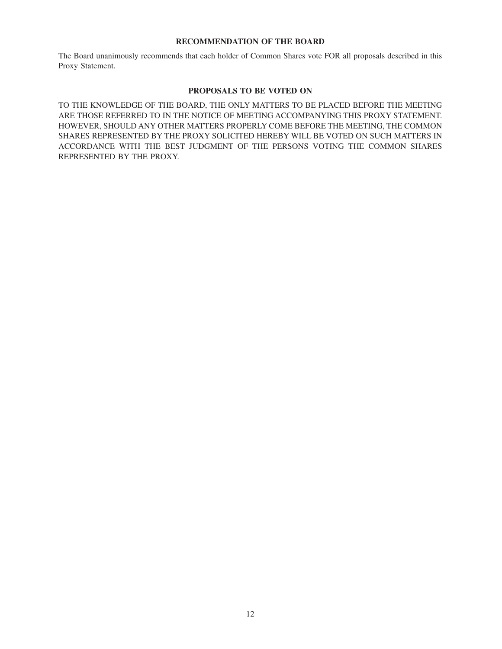### **RECOMMENDATION OF THE BOARD**

The Board unanimously recommends that each holder of Common Shares vote FOR all proposals described in this Proxy Statement.

### **PROPOSALS TO BE VOTED ON**

TO THE KNOWLEDGE OF THE BOARD, THE ONLY MATTERS TO BE PLACED BEFORE THE MEETING ARE THOSE REFERRED TO IN THE NOTICE OF MEETING ACCOMPANYING THIS PROXY STATEMENT. HOWEVER, SHOULD ANY OTHER MATTERS PROPERLY COME BEFORE THE MEETING, THE COMMON SHARES REPRESENTED BY THE PROXY SOLICITED HEREBY WILL BE VOTED ON SUCH MATTERS IN ACCORDANCE WITH THE BEST JUDGMENT OF THE PERSONS VOTING THE COMMON SHARES REPRESENTED BY THE PROXY.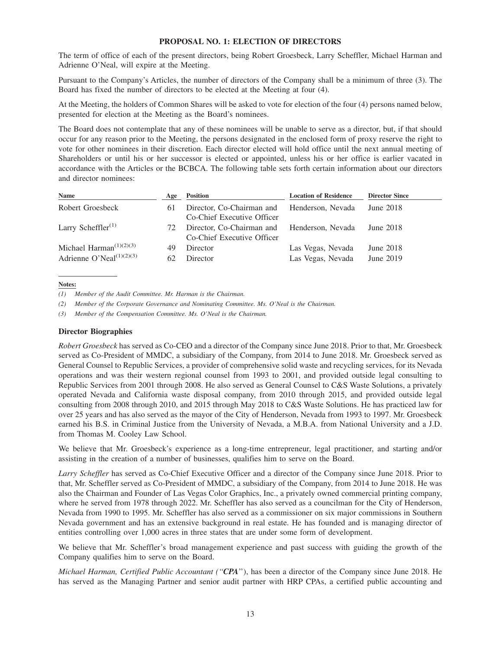### **PROPOSAL NO. 1: ELECTION OF DIRECTORS**

The term of office of each of the present directors, being Robert Groesbeck, Larry Scheffler, Michael Harman and Adrienne O'Neal, will expire at the Meeting.

Pursuant to the Company's Articles, the number of directors of the Company shall be a minimum of three (3). The Board has fixed the number of directors to be elected at the Meeting at four (4).

At the Meeting, the holders of Common Shares will be asked to vote for election of the four (4) persons named below, presented for election at the Meeting as the Board's nominees.

The Board does not contemplate that any of these nominees will be unable to serve as a director, but, if that should occur for any reason prior to the Meeting, the persons designated in the enclosed form of proxy reserve the right to vote for other nominees in their discretion. Each director elected will hold office until the next annual meeting of Shareholders or until his or her successor is elected or appointed, unless his or her office is earlier vacated in accordance with the Articles or the BCBCA. The following table sets forth certain information about our directors and director nominees:

| Age      | <b>Position</b>            | <b>Location of Residence</b>           | <b>Director Since</b>                                                                      |
|----------|----------------------------|----------------------------------------|--------------------------------------------------------------------------------------------|
| 6 I      | Co-Chief Executive Officer |                                        | June 2018                                                                                  |
| 72.      | Co-Chief Executive Officer |                                        | June $2018$                                                                                |
| 49<br>62 | Director<br>Director       | Las Vegas, Nevada<br>Las Vegas, Nevada | June 2018<br>June 2019                                                                     |
|          |                            |                                        | Director, Co-Chairman and Henderson, Nevada<br>Director, Co-Chairman and Henderson, Nevada |

#### **Notes:**

*(1) Member of the Audit Committee. Mr. Harman is the Chairman.*

*(2) Member of the Corporate Governance and Nominating Committee. Ms. O'Neal is the Chairman.*

*(3) Member of the Compensation Committee. Ms. O'Neal is the Chairman.*

#### **Director Biographies**

*Robert Groesbeck* has served as Co-CEO and a director of the Company since June 2018. Prior to that, Mr. Groesbeck served as Co-President of MMDC, a subsidiary of the Company, from 2014 to June 2018. Mr. Groesbeck served as General Counsel to Republic Services, a provider of comprehensive solid waste and recycling services, for its Nevada operations and was their western regional counsel from 1993 to 2001, and provided outside legal consulting to Republic Services from 2001 through 2008. He also served as General Counsel to C&S Waste Solutions, a privately operated Nevada and California waste disposal company, from 2010 through 2015, and provided outside legal consulting from 2008 through 2010, and 2015 through May 2018 to C&S Waste Solutions. He has practiced law for over 25 years and has also served as the mayor of the City of Henderson, Nevada from 1993 to 1997. Mr. Groesbeck earned his B.S. in Criminal Justice from the University of Nevada, a M.B.A. from National University and a J.D. from Thomas M. Cooley Law School.

We believe that Mr. Groesbeck's experience as a long-time entrepreneur, legal practitioner, and starting and/or assisting in the creation of a number of businesses, qualifies him to serve on the Board.

*Larry Scheffler* has served as Co-Chief Executive Officer and a director of the Company since June 2018. Prior to that, Mr. Scheffler served as Co-President of MMDC, a subsidiary of the Company, from 2014 to June 2018. He was also the Chairman and Founder of Las Vegas Color Graphics, Inc., a privately owned commercial printing company, where he served from 1978 through 2022. Mr. Scheffler has also served as a councilman for the City of Henderson, Nevada from 1990 to 1995. Mr. Scheffler has also served as a commissioner on six major commissions in Southern Nevada government and has an extensive background in real estate. He has founded and is managing director of entities controlling over 1,000 acres in three states that are under some form of development.

We believe that Mr. Scheffler's broad management experience and past success with guiding the growth of the Company qualifies him to serve on the Board.

*Michael Harman, Certified Public Accountant (''CPA*''), has been a director of the Company since June 2018. He has served as the Managing Partner and senior audit partner with HRP CPAs, a certified public accounting and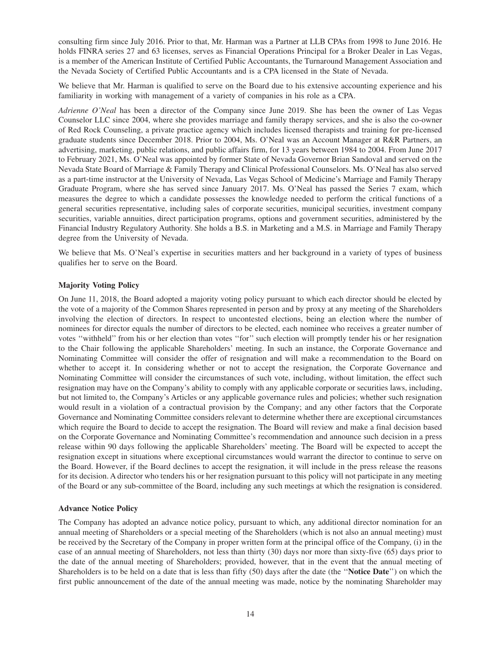consulting firm since July 2016. Prior to that, Mr. Harman was a Partner at LLB CPAs from 1998 to June 2016. He holds FINRA series 27 and 63 licenses, serves as Financial Operations Principal for a Broker Dealer in Las Vegas, is a member of the American Institute of Certified Public Accountants, the Turnaround Management Association and the Nevada Society of Certified Public Accountants and is a CPA licensed in the State of Nevada.

We believe that Mr. Harman is qualified to serve on the Board due to his extensive accounting experience and his familiarity in working with management of a variety of companies in his role as a CPA.

*Adrienne O'Neal* has been a director of the Company since June 2019. She has been the owner of Las Vegas Counselor LLC since 2004, where she provides marriage and family therapy services, and she is also the co-owner of Red Rock Counseling, a private practice agency which includes licensed therapists and training for pre-licensed graduate students since December 2018. Prior to 2004, Ms. O'Neal was an Account Manager at R&R Partners, an advertising, marketing, public relations, and public affairs firm, for 13 years between 1984 to 2004. From June 2017 to February 2021, Ms. O'Neal was appointed by former State of Nevada Governor Brian Sandoval and served on the Nevada State Board of Marriage & Family Therapy and Clinical Professional Counselors. Ms. O'Neal has also served as a part-time instructor at the University of Nevada, Las Vegas School of Medicine's Marriage and Family Therapy Graduate Program, where she has served since January 2017. Ms. O'Neal has passed the Series 7 exam, which measures the degree to which a candidate possesses the knowledge needed to perform the critical functions of a general securities representative, including sales of corporate securities, municipal securities, investment company securities, variable annuities, direct participation programs, options and government securities, administered by the Financial Industry Regulatory Authority. She holds a B.S. in Marketing and a M.S. in Marriage and Family Therapy degree from the University of Nevada.

We believe that Ms. O'Neal's expertise in securities matters and her background in a variety of types of business qualifies her to serve on the Board.

### **Majority Voting Policy**

On June 11, 2018, the Board adopted a majority voting policy pursuant to which each director should be elected by the vote of a majority of the Common Shares represented in person and by proxy at any meeting of the Shareholders involving the election of directors. In respect to uncontested elections, being an election where the number of nominees for director equals the number of directors to be elected, each nominee who receives a greater number of votes ''withheld'' from his or her election than votes ''for'' such election will promptly tender his or her resignation to the Chair following the applicable Shareholders' meeting. In such an instance, the Corporate Governance and Nominating Committee will consider the offer of resignation and will make a recommendation to the Board on whether to accept it. In considering whether or not to accept the resignation, the Corporate Governance and Nominating Committee will consider the circumstances of such vote, including, without limitation, the effect such resignation may have on the Company's ability to comply with any applicable corporate or securities laws, including, but not limited to, the Company's Articles or any applicable governance rules and policies; whether such resignation would result in a violation of a contractual provision by the Company; and any other factors that the Corporate Governance and Nominating Committee considers relevant to determine whether there are exceptional circumstances which require the Board to decide to accept the resignation. The Board will review and make a final decision based on the Corporate Governance and Nominating Committee's recommendation and announce such decision in a press release within 90 days following the applicable Shareholders' meeting. The Board will be expected to accept the resignation except in situations where exceptional circumstances would warrant the director to continue to serve on the Board. However, if the Board declines to accept the resignation, it will include in the press release the reasons for its decision. A director who tenders his or her resignation pursuant to this policy will not participate in any meeting of the Board or any sub-committee of the Board, including any such meetings at which the resignation is considered.

#### **Advance Notice Policy**

The Company has adopted an advance notice policy, pursuant to which, any additional director nomination for an annual meeting of Shareholders or a special meeting of the Shareholders (which is not also an annual meeting) must be received by the Secretary of the Company in proper written form at the principal office of the Company, (i) in the case of an annual meeting of Shareholders, not less than thirty (30) days nor more than sixty-five (65) days prior to the date of the annual meeting of Shareholders; provided, however, that in the event that the annual meeting of Shareholders is to be held on a date that is less than fifty (50) days after the date (the ''**Notice Date**'') on which the first public announcement of the date of the annual meeting was made, notice by the nominating Shareholder may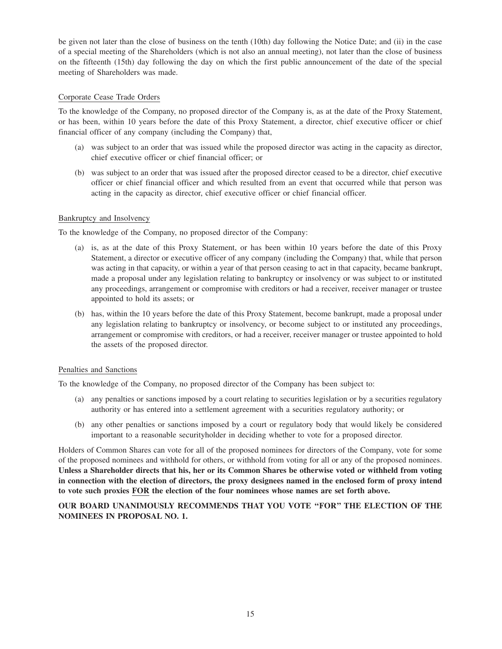be given not later than the close of business on the tenth (10th) day following the Notice Date; and (ii) in the case of a special meeting of the Shareholders (which is not also an annual meeting), not later than the close of business on the fifteenth (15th) day following the day on which the first public announcement of the date of the special meeting of Shareholders was made.

### Corporate Cease Trade Orders

To the knowledge of the Company, no proposed director of the Company is, as at the date of the Proxy Statement, or has been, within 10 years before the date of this Proxy Statement, a director, chief executive officer or chief financial officer of any company (including the Company) that,

- (a) was subject to an order that was issued while the proposed director was acting in the capacity as director, chief executive officer or chief financial officer; or
- (b) was subject to an order that was issued after the proposed director ceased to be a director, chief executive officer or chief financial officer and which resulted from an event that occurred while that person was acting in the capacity as director, chief executive officer or chief financial officer.

### Bankruptcy and Insolvency

To the knowledge of the Company, no proposed director of the Company:

- (a) is, as at the date of this Proxy Statement, or has been within 10 years before the date of this Proxy Statement, a director or executive officer of any company (including the Company) that, while that person was acting in that capacity, or within a year of that person ceasing to act in that capacity, became bankrupt, made a proposal under any legislation relating to bankruptcy or insolvency or was subject to or instituted any proceedings, arrangement or compromise with creditors or had a receiver, receiver manager or trustee appointed to hold its assets; or
- (b) has, within the 10 years before the date of this Proxy Statement, become bankrupt, made a proposal under any legislation relating to bankruptcy or insolvency, or become subject to or instituted any proceedings, arrangement or compromise with creditors, or had a receiver, receiver manager or trustee appointed to hold the assets of the proposed director.

### Penalties and Sanctions

To the knowledge of the Company, no proposed director of the Company has been subject to:

- (a) any penalties or sanctions imposed by a court relating to securities legislation or by a securities regulatory authority or has entered into a settlement agreement with a securities regulatory authority; or
- (b) any other penalties or sanctions imposed by a court or regulatory body that would likely be considered important to a reasonable securityholder in deciding whether to vote for a proposed director.

Holders of Common Shares can vote for all of the proposed nominees for directors of the Company, vote for some of the proposed nominees and withhold for others, or withhold from voting for all or any of the proposed nominees. **Unless a Shareholder directs that his, her or its Common Shares be otherwise voted or withheld from voting in connection with the election of directors, the proxy designees named in the enclosed form of proxy intend to vote such proxies FOR the election of the four nominees whose names are set forth above.**

### **OUR BOARD UNANIMOUSLY RECOMMENDS THAT YOU VOTE ''FOR'' THE ELECTION OF THE NOMINEES IN PROPOSAL NO. 1.**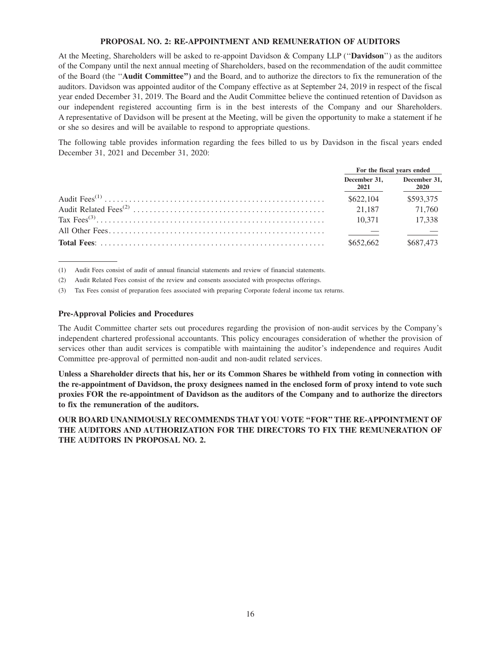#### **PROPOSAL NO. 2: RE-APPOINTMENT AND REMUNERATION OF AUDITORS**

At the Meeting, Shareholders will be asked to re-appoint Davidson & Company LLP (''**Davidson**'') as the auditors of the Company until the next annual meeting of Shareholders, based on the recommendation of the audit committee of the Board (the ''**Audit Committee'')** and the Board, and to authorize the directors to fix the remuneration of the auditors. Davidson was appointed auditor of the Company effective as at September 24, 2019 in respect of the fiscal year ended December 31, 2019. The Board and the Audit Committee believe the continued retention of Davidson as our independent registered accounting firm is in the best interests of the Company and our Shareholders. A representative of Davidson will be present at the Meeting, will be given the opportunity to make a statement if he or she so desires and will be available to respond to appropriate questions.

The following table provides information regarding the fees billed to us by Davidson in the fiscal years ended December 31, 2021 and December 31, 2020:

|                      | For the fiscal years ended  |
|----------------------|-----------------------------|
| December 31.<br>2021 | December 31,<br><b>2020</b> |
| \$622,104            | \$593,375                   |
| 21.187               | 71.760                      |
| 10.371               | 17.338                      |
|                      |                             |
| \$652,662            | \$687,473                   |

(1) Audit Fees consist of audit of annual financial statements and review of financial statements.

(2) Audit Related Fees consist of the review and consents associated with prospectus offerings.

(3) Tax Fees consist of preparation fees associated with preparing Corporate federal income tax returns.

#### **Pre-Approval Policies and Procedures**

The Audit Committee charter sets out procedures regarding the provision of non-audit services by the Company's independent chartered professional accountants. This policy encourages consideration of whether the provision of services other than audit services is compatible with maintaining the auditor's independence and requires Audit Committee pre-approval of permitted non-audit and non-audit related services.

**Unless a Shareholder directs that his, her or its Common Shares be withheld from voting in connection with the re-appointment of Davidson, the proxy designees named in the enclosed form of proxy intend to vote such proxies FOR the re-appointment of Davidson as the auditors of the Company and to authorize the directors to fix the remuneration of the auditors.**

**OUR BOARD UNANIMOUSLY RECOMMENDS THAT YOU VOTE ''FOR'' THE RE-APPOINTMENT OF THE AUDITORS AND AUTHORIZATION FOR THE DIRECTORS TO FIX THE REMUNERATION OF THE AUDITORS IN PROPOSAL NO. 2.**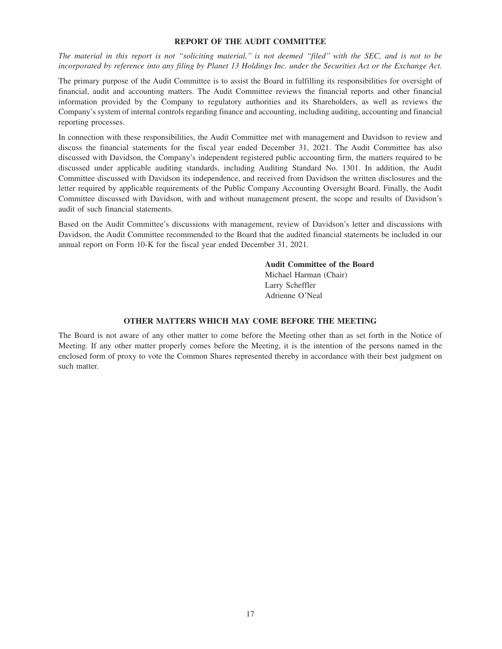#### **REPORT OF THE AUDIT COMMITTEE**

*The material in this report is not ''soliciting material,'' is not deemed ''filed'' with the SEC, and is not to be incorporated by reference into any filing by Planet 13 Holdings Inc. under the Securities Act or the Exchange Act.*

The primary purpose of the Audit Committee is to assist the Board in fulfilling its responsibilities for oversight of financial, audit and accounting matters. The Audit Committee reviews the financial reports and other financial information provided by the Company to regulatory authorities and its Shareholders, as well as reviews the Company's system of internal controls regarding finance and accounting, including auditing, accounting and financial reporting processes.

In connection with these responsibilities, the Audit Committee met with management and Davidson to review and discuss the financial statements for the fiscal year ended December 31, 2021. The Audit Committee has also discussed with Davidson, the Company's independent registered public accounting firm, the matters required to be discussed under applicable auditing standards, including Auditing Standard No. 1301. In addition, the Audit Committee discussed with Davidson its independence, and received from Davidson the written disclosures and the letter required by applicable requirements of the Public Company Accounting Oversight Board. Finally, the Audit Committee discussed with Davidson, with and without management present, the scope and results of Davidson's audit of such financial statements.

Based on the Audit Committee's discussions with management, review of Davidson's letter and discussions with Davidson, the Audit Committee recommended to the Board that the audited financial statements be included in our annual report on Form 10-K for the fiscal year ended December 31, 2021.

**Audit Committee of the Board**

Michael Harman (Chair) Larry Scheffler Adrienne O'Neal

### **OTHER MATTERS WHICH MAY COME BEFORE THE MEETING**

The Board is not aware of any other matter to come before the Meeting other than as set forth in the Notice of Meeting. If any other matter properly comes before the Meeting, it is the intention of the persons named in the enclosed form of proxy to vote the Common Shares represented thereby in accordance with their best judgment on such matter.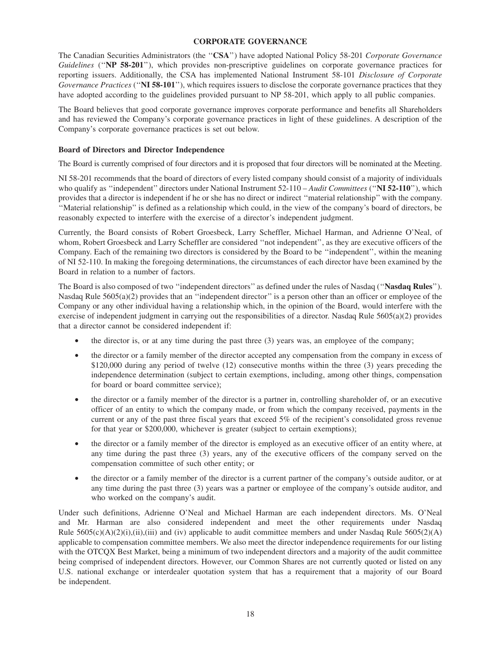### **CORPORATE GOVERNANCE**

The Canadian Securities Administrators (the ''**CSA**'') have adopted National Policy 58-201 *Corporate Governance Guidelines* (''**NP 58-201**''), which provides non-prescriptive guidelines on corporate governance practices for reporting issuers. Additionally, the CSA has implemented National Instrument 58-101 *Disclosure of Corporate Governance Practices* (''**NI 58-101**''), which requires issuers to disclose the corporate governance practices that they have adopted according to the guidelines provided pursuant to NP 58-201, which apply to all public companies.

The Board believes that good corporate governance improves corporate performance and benefits all Shareholders and has reviewed the Company's corporate governance practices in light of these guidelines. A description of the Company's corporate governance practices is set out below.

### **Board of Directors and Director Independence**

The Board is currently comprised of four directors and it is proposed that four directors will be nominated at the Meeting.

NI 58-201 recommends that the board of directors of every listed company should consist of a majority of individuals who qualify as "independent" directors under National Instrument 52-110 – *Audit Committees* ("N**I 52-110**"), which provides that a director is independent if he or she has no direct or indirect ''material relationship'' with the company. ''Material relationship'' is defined as a relationship which could, in the view of the company's board of directors, be reasonably expected to interfere with the exercise of a director's independent judgment.

Currently, the Board consists of Robert Groesbeck, Larry Scheffler, Michael Harman, and Adrienne O'Neal, of whom, Robert Groesbeck and Larry Scheffler are considered ''not independent'', as they are executive officers of the Company. Each of the remaining two directors is considered by the Board to be ''independent'', within the meaning of NI 52-110. In making the foregoing determinations, the circumstances of each director have been examined by the Board in relation to a number of factors.

The Board is also composed of two ''independent directors'' as defined under the rules of Nasdaq (''**Nasdaq Rules**''). Nasdaq Rule 5605(a)(2) provides that an "independent director" is a person other than an officer or employee of the Company or any other individual having a relationship which, in the opinion of the Board, would interfere with the exercise of independent judgment in carrying out the responsibilities of a director. Nasdaq Rule 5605(a)(2) provides that a director cannot be considered independent if:

- the director is, or at any time during the past three (3) years was, an employee of the company;
- the director or a family member of the director accepted any compensation from the company in excess of \$120,000 during any period of twelve (12) consecutive months within the three (3) years preceding the independence determination (subject to certain exemptions, including, among other things, compensation for board or board committee service);
- the director or a family member of the director is a partner in, controlling shareholder of, or an executive officer of an entity to which the company made, or from which the company received, payments in the current or any of the past three fiscal years that exceed 5% of the recipient's consolidated gross revenue for that year or \$200,000, whichever is greater (subject to certain exemptions);
- the director or a family member of the director is employed as an executive officer of an entity where, at any time during the past three (3) years, any of the executive officers of the company served on the compensation committee of such other entity; or
- the director or a family member of the director is a current partner of the company's outside auditor, or at any time during the past three (3) years was a partner or employee of the company's outside auditor, and who worked on the company's audit.

Under such definitions, Adrienne O'Neal and Michael Harman are each independent directors. Ms. O'Neal and Mr. Harman are also considered independent and meet the other requirements under Nasdaq Rule  $5605(c)(A)(2)(i),(ii),(iii)$  and (iv) applicable to audit committee members and under Nasdaq Rule  $5605(2)(A)$ applicable to compensation committee members. We also meet the director independence requirements for our listing with the OTCQX Best Market, being a minimum of two independent directors and a majority of the audit committee being comprised of independent directors. However, our Common Shares are not currently quoted or listed on any U.S. national exchange or interdealer quotation system that has a requirement that a majority of our Board be independent.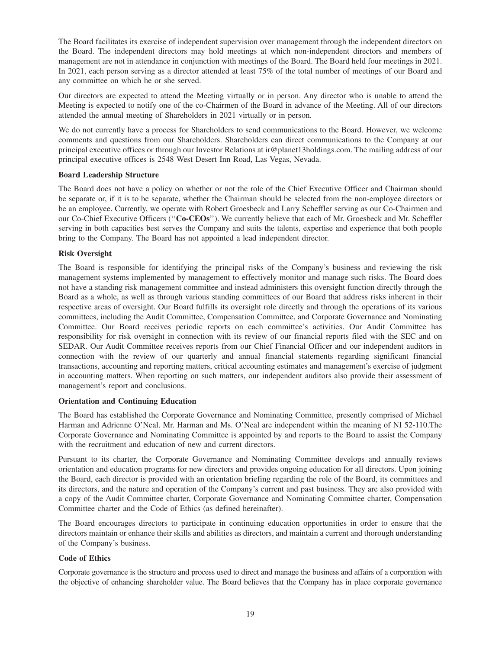The Board facilitates its exercise of independent supervision over management through the independent directors on the Board. The independent directors may hold meetings at which non-independent directors and members of management are not in attendance in conjunction with meetings of the Board. The Board held four meetings in 2021. In 2021, each person serving as a director attended at least 75% of the total number of meetings of our Board and any committee on which he or she served.

Our directors are expected to attend the Meeting virtually or in person. Any director who is unable to attend the Meeting is expected to notify one of the co-Chairmen of the Board in advance of the Meeting. All of our directors attended the annual meeting of Shareholders in 2021 virtually or in person.

We do not currently have a process for Shareholders to send communications to the Board. However, we welcome comments and questions from our Shareholders. Shareholders can direct communications to the Company at our principal executive offices or through our Investor Relations at ir@planet13holdings.com. The mailing address of our principal executive offices is 2548 West Desert Inn Road, Las Vegas, Nevada.

### **Board Leadership Structure**

The Board does not have a policy on whether or not the role of the Chief Executive Officer and Chairman should be separate or, if it is to be separate, whether the Chairman should be selected from the non-employee directors or be an employee. Currently, we operate with Robert Groesbeck and Larry Scheffler serving as our Co-Chairmen and our Co-Chief Executive Officers (''**Co-CEOs**''). We currently believe that each of Mr. Groesbeck and Mr. Scheffler serving in both capacities best serves the Company and suits the talents, expertise and experience that both people bring to the Company. The Board has not appointed a lead independent director.

### **Risk Oversight**

The Board is responsible for identifying the principal risks of the Company's business and reviewing the risk management systems implemented by management to effectively monitor and manage such risks. The Board does not have a standing risk management committee and instead administers this oversight function directly through the Board as a whole, as well as through various standing committees of our Board that address risks inherent in their respective areas of oversight. Our Board fulfills its oversight role directly and through the operations of its various committees, including the Audit Committee, Compensation Committee, and Corporate Governance and Nominating Committee. Our Board receives periodic reports on each committee's activities. Our Audit Committee has responsibility for risk oversight in connection with its review of our financial reports filed with the SEC and on SEDAR. Our Audit Committee receives reports from our Chief Financial Officer and our independent auditors in connection with the review of our quarterly and annual financial statements regarding significant financial transactions, accounting and reporting matters, critical accounting estimates and management's exercise of judgment in accounting matters. When reporting on such matters, our independent auditors also provide their assessment of management's report and conclusions.

#### **Orientation and Continuing Education**

The Board has established the Corporate Governance and Nominating Committee, presently comprised of Michael Harman and Adrienne O'Neal. Mr. Harman and Ms. O'Neal are independent within the meaning of NI 52-110.The Corporate Governance and Nominating Committee is appointed by and reports to the Board to assist the Company with the recruitment and education of new and current directors.

Pursuant to its charter, the Corporate Governance and Nominating Committee develops and annually reviews orientation and education programs for new directors and provides ongoing education for all directors. Upon joining the Board, each director is provided with an orientation briefing regarding the role of the Board, its committees and its directors, and the nature and operation of the Company's current and past business. They are also provided with a copy of the Audit Committee charter, Corporate Governance and Nominating Committee charter, Compensation Committee charter and the Code of Ethics (as defined hereinafter).

The Board encourages directors to participate in continuing education opportunities in order to ensure that the directors maintain or enhance their skills and abilities as directors, and maintain a current and thorough understanding of the Company's business.

### **Code of Ethics**

Corporate governance is the structure and process used to direct and manage the business and affairs of a corporation with the objective of enhancing shareholder value. The Board believes that the Company has in place corporate governance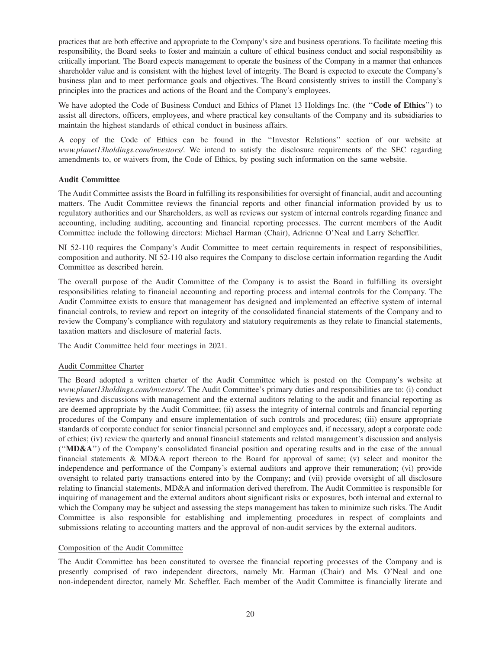practices that are both effective and appropriate to the Company's size and business operations. To facilitate meeting this responsibility, the Board seeks to foster and maintain a culture of ethical business conduct and social responsibility as critically important. The Board expects management to operate the business of the Company in a manner that enhances shareholder value and is consistent with the highest level of integrity. The Board is expected to execute the Company's business plan and to meet performance goals and objectives. The Board consistently strives to instill the Company's principles into the practices and actions of the Board and the Company's employees.

We have adopted the Code of Business Conduct and Ethics of Planet 13 Holdings Inc. (the ''**Code of Ethics**'') to assist all directors, officers, employees, and where practical key consultants of the Company and its subsidiaries to maintain the highest standards of ethical conduct in business affairs.

A copy of the Code of Ethics can be found in the ''Investor Relations'' section of our website at *www.planet13holdings.com/investors/*. We intend to satisfy the disclosure requirements of the SEC regarding amendments to, or waivers from, the Code of Ethics, by posting such information on the same website.

### **Audit Committee**

The Audit Committee assists the Board in fulfilling its responsibilities for oversight of financial, audit and accounting matters. The Audit Committee reviews the financial reports and other financial information provided by us to regulatory authorities and our Shareholders, as well as reviews our system of internal controls regarding finance and accounting, including auditing, accounting and financial reporting processes. The current members of the Audit Committee include the following directors: Michael Harman (Chair), Adrienne O'Neal and Larry Scheffler.

NI 52-110 requires the Company's Audit Committee to meet certain requirements in respect of responsibilities, composition and authority. NI 52-110 also requires the Company to disclose certain information regarding the Audit Committee as described herein.

The overall purpose of the Audit Committee of the Company is to assist the Board in fulfilling its oversight responsibilities relating to financial accounting and reporting process and internal controls for the Company. The Audit Committee exists to ensure that management has designed and implemented an effective system of internal financial controls, to review and report on integrity of the consolidated financial statements of the Company and to review the Company's compliance with regulatory and statutory requirements as they relate to financial statements, taxation matters and disclosure of material facts.

The Audit Committee held four meetings in 2021.

### Audit Committee Charter

The Board adopted a written charter of the Audit Committee which is posted on the Company's website at *www.planet13holdings.com/investors/*. The Audit Committee's primary duties and responsibilities are to: (i) conduct reviews and discussions with management and the external auditors relating to the audit and financial reporting as are deemed appropriate by the Audit Committee; (ii) assess the integrity of internal controls and financial reporting procedures of the Company and ensure implementation of such controls and procedures; (iii) ensure appropriate standards of corporate conduct for senior financial personnel and employees and, if necessary, adopt a corporate code of ethics; (iv) review the quarterly and annual financial statements and related management's discussion and analysis (''**MD&A**'') of the Company's consolidated financial position and operating results and in the case of the annual financial statements & MD&A report thereon to the Board for approval of same; (v) select and monitor the independence and performance of the Company's external auditors and approve their remuneration; (vi) provide oversight to related party transactions entered into by the Company; and (vii) provide oversight of all disclosure relating to financial statements, MD&A and information derived therefrom. The Audit Committee is responsible for inquiring of management and the external auditors about significant risks or exposures, both internal and external to which the Company may be subject and assessing the steps management has taken to minimize such risks. The Audit Committee is also responsible for establishing and implementing procedures in respect of complaints and submissions relating to accounting matters and the approval of non-audit services by the external auditors.

### Composition of the Audit Committee

The Audit Committee has been constituted to oversee the financial reporting processes of the Company and is presently comprised of two independent directors, namely Mr. Harman (Chair) and Ms. O'Neal and one non-independent director, namely Mr. Scheffler. Each member of the Audit Committee is financially literate and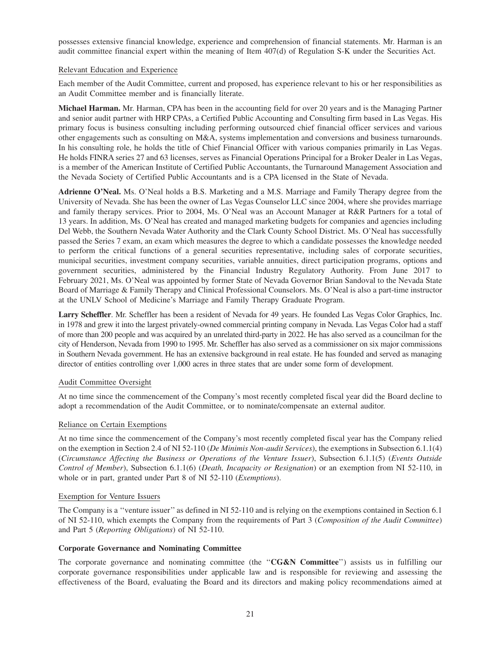possesses extensive financial knowledge, experience and comprehension of financial statements. Mr. Harman is an audit committee financial expert within the meaning of Item 407(d) of Regulation S-K under the Securities Act.

### Relevant Education and Experience

Each member of the Audit Committee, current and proposed, has experience relevant to his or her responsibilities as an Audit Committee member and is financially literate.

**Michael Harman.** Mr. Harman, CPA has been in the accounting field for over 20 years and is the Managing Partner and senior audit partner with HRP CPAs, a Certified Public Accounting and Consulting firm based in Las Vegas. His primary focus is business consulting including performing outsourced chief financial officer services and various other engagements such as consulting on M&A, systems implementation and conversions and business turnarounds. In his consulting role, he holds the title of Chief Financial Officer with various companies primarily in Las Vegas. He holds FINRA series 27 and 63 licenses, serves as Financial Operations Principal for a Broker Dealer in Las Vegas, is a member of the American Institute of Certified Public Accountants, the Turnaround Management Association and the Nevada Society of Certified Public Accountants and is a CPA licensed in the State of Nevada.

**Adrienne O'Neal.** Ms. O'Neal holds a B.S. Marketing and a M.S. Marriage and Family Therapy degree from the University of Nevada. She has been the owner of Las Vegas Counselor LLC since 2004, where she provides marriage and family therapy services. Prior to 2004, Ms. O'Neal was an Account Manager at R&R Partners for a total of 13 years. In addition, Ms. O'Neal has created and managed marketing budgets for companies and agencies including Del Webb, the Southern Nevada Water Authority and the Clark County School District. Ms. O'Neal has successfully passed the Series 7 exam, an exam which measures the degree to which a candidate possesses the knowledge needed to perform the critical functions of a general securities representative, including sales of corporate securities, municipal securities, investment company securities, variable annuities, direct participation programs, options and government securities, administered by the Financial Industry Regulatory Authority. From June 2017 to February 2021, Ms. O'Neal was appointed by former State of Nevada Governor Brian Sandoval to the Nevada State Board of Marriage & Family Therapy and Clinical Professional Counselors. Ms. O'Neal is also a part-time instructor at the UNLV School of Medicine's Marriage and Family Therapy Graduate Program.

**Larry Scheffler**. Mr. Scheffler has been a resident of Nevada for 49 years. He founded Las Vegas Color Graphics, Inc. in 1978 and grew it into the largest privately-owned commercial printing company in Nevada. Las Vegas Color had a staff of more than 200 people and was acquired by an unrelated third-party in 2022. He has also served as a councilman for the city of Henderson, Nevada from 1990 to 1995. Mr. Scheffler has also served as a commissioner on six major commissions in Southern Nevada government. He has an extensive background in real estate. He has founded and served as managing director of entities controlling over 1,000 acres in three states that are under some form of development.

### Audit Committee Oversight

At no time since the commencement of the Company's most recently completed fiscal year did the Board decline to adopt a recommendation of the Audit Committee, or to nominate/compensate an external auditor.

#### Reliance on Certain Exemptions

At no time since the commencement of the Company's most recently completed fiscal year has the Company relied on the exemption in Section 2.4 of NI 52-110 (*De Minimis Non-audit Services*), the exemptions in Subsection 6.1.1(4) (*Circumstance Affecting the Business or Operations of the Venture Issuer*), Subsection 6.1.1(5) (*Events Outside Control of Member*), Subsection 6.1.1(6) (*Death, Incapacity or Resignation*) or an exemption from NI 52-110, in whole or in part, granted under Part 8 of NI 52-110 (*Exemptions*).

#### Exemption for Venture Issuers

The Company is a ''venture issuer'' as defined in NI 52-110 and is relying on the exemptions contained in Section 6.1 of NI 52-110, which exempts the Company from the requirements of Part 3 (*Composition of the Audit Committee*) and Part 5 (*Reporting Obligations*) of NI 52-110.

#### **Corporate Governance and Nominating Committee**

The corporate governance and nominating committee (the ''**CG&N Committee**'') assists us in fulfilling our corporate governance responsibilities under applicable law and is responsible for reviewing and assessing the effectiveness of the Board, evaluating the Board and its directors and making policy recommendations aimed at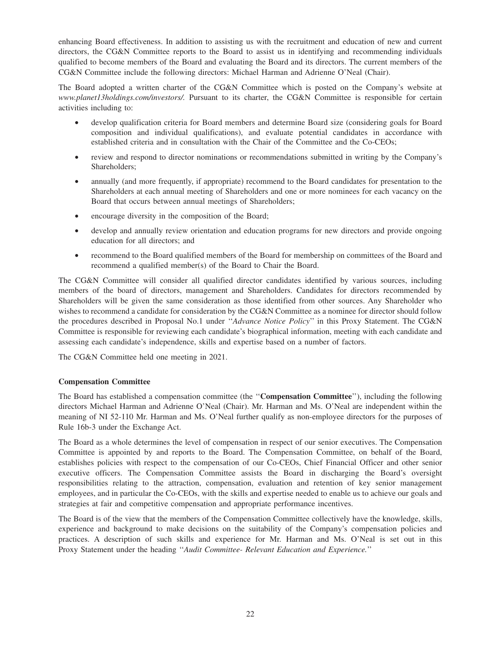enhancing Board effectiveness. In addition to assisting us with the recruitment and education of new and current directors, the CG&N Committee reports to the Board to assist us in identifying and recommending individuals qualified to become members of the Board and evaluating the Board and its directors. The current members of the CG&N Committee include the following directors: Michael Harman and Adrienne O'Neal (Chair).

The Board adopted a written charter of the CG&N Committee which is posted on the Company's website at *www.planet13holdings.com/investors/.* Pursuant to its charter, the CG&N Committee is responsible for certain activities including to:

- develop qualification criteria for Board members and determine Board size (considering goals for Board composition and individual qualifications), and evaluate potential candidates in accordance with established criteria and in consultation with the Chair of the Committee and the Co-CEOs;
- review and respond to director nominations or recommendations submitted in writing by the Company's Shareholders;
- annually (and more frequently, if appropriate) recommend to the Board candidates for presentation to the Shareholders at each annual meeting of Shareholders and one or more nominees for each vacancy on the Board that occurs between annual meetings of Shareholders;
- encourage diversity in the composition of the Board;
- develop and annually review orientation and education programs for new directors and provide ongoing education for all directors; and
- recommend to the Board qualified members of the Board for membership on committees of the Board and recommend a qualified member(s) of the Board to Chair the Board.

The CG&N Committee will consider all qualified director candidates identified by various sources, including members of the board of directors, management and Shareholders. Candidates for directors recommended by Shareholders will be given the same consideration as those identified from other sources. Any Shareholder who wishes to recommend a candidate for consideration by the CG&N Committee as a nominee for director should follow the procedures described in Proposal No.1 under ''*Advance Notice Policy*'' in this Proxy Statement. The CG&N Committee is responsible for reviewing each candidate's biographical information, meeting with each candidate and assessing each candidate's independence, skills and expertise based on a number of factors.

The CG&N Committee held one meeting in 2021.

### **Compensation Committee**

The Board has established a compensation committee (the ''**Compensation Committee**''), including the following directors Michael Harman and Adrienne O'Neal (Chair). Mr. Harman and Ms. O'Neal are independent within the meaning of NI 52-110 Mr. Harman and Ms. O'Neal further qualify as non-employee directors for the purposes of Rule 16b-3 under the Exchange Act.

The Board as a whole determines the level of compensation in respect of our senior executives. The Compensation Committee is appointed by and reports to the Board. The Compensation Committee, on behalf of the Board, establishes policies with respect to the compensation of our Co-CEOs, Chief Financial Officer and other senior executive officers. The Compensation Committee assists the Board in discharging the Board's oversight responsibilities relating to the attraction, compensation, evaluation and retention of key senior management employees, and in particular the Co-CEOs, with the skills and expertise needed to enable us to achieve our goals and strategies at fair and competitive compensation and appropriate performance incentives.

The Board is of the view that the members of the Compensation Committee collectively have the knowledge, skills, experience and background to make decisions on the suitability of the Company's compensation policies and practices. A description of such skills and experience for Mr. Harman and Ms. O'Neal is set out in this Proxy Statement under the heading ''*Audit Committee- Relevant Education and Experience.*''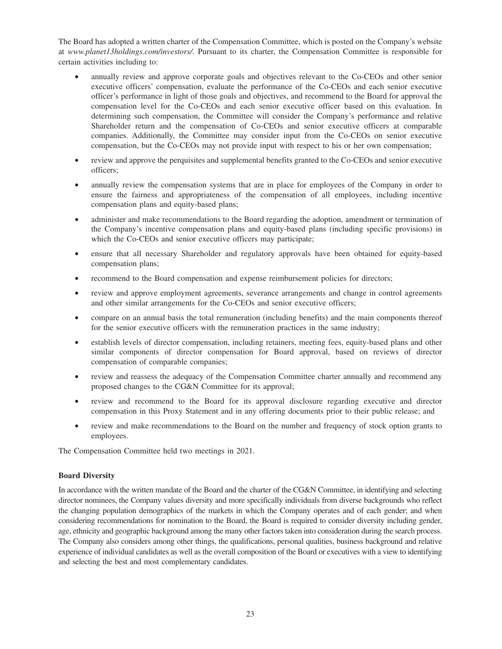The Board has adopted a written charter of the Compensation Committee, which is posted on the Company's website at *www.planet13holdings.com/investors/*. Pursuant to its charter, the Compensation Committee is responsible for certain activities including to:

- annually review and approve corporate goals and objectives relevant to the Co-CEOs and other senior executive officers' compensation, evaluate the performance of the Co-CEOs and each senior executive officer's performance in light of those goals and objectives, and recommend to the Board for approval the compensation level for the Co-CEOs and each senior executive officer based on this evaluation. In determining such compensation, the Committee will consider the Company's performance and relative Shareholder return and the compensation of Co-CEOs and senior executive officers at comparable companies. Additionally, the Committee may consider input from the Co-CEOs on senior executive compensation, but the Co-CEOs may not provide input with respect to his or her own compensation;
- review and approve the perquisites and supplemental benefits granted to the Co-CEOs and senior executive officers;
- annually review the compensation systems that are in place for employees of the Company in order to ensure the fairness and appropriateness of the compensation of all employees, including incentive compensation plans and equity-based plans;
- administer and make recommendations to the Board regarding the adoption, amendment or termination of the Company's incentive compensation plans and equity-based plans (including specific provisions) in which the Co-CEOs and senior executive officers may participate;
- ensure that all necessary Shareholder and regulatory approvals have been obtained for equity-based compensation plans;
- recommend to the Board compensation and expense reimbursement policies for directors;
- review and approve employment agreements, severance arrangements and change in control agreements and other similar arrangements for the Co-CEOs and senior executive officers;
- compare on an annual basis the total remuneration (including benefits) and the main components thereof for the senior executive officers with the remuneration practices in the same industry;
- establish levels of director compensation, including retainers, meeting fees, equity-based plans and other similar components of director compensation for Board approval, based on reviews of director compensation of comparable companies;
- review and reassess the adequacy of the Compensation Committee charter annually and recommend any proposed changes to the CG&N Committee for its approval;
- review and recommend to the Board for its approval disclosure regarding executive and director compensation in this Proxy Statement and in any offering documents prior to their public release; and
- review and make recommendations to the Board on the number and frequency of stock option grants to employees.

The Compensation Committee held two meetings in 2021.

### **Board Diversity**

In accordance with the written mandate of the Board and the charter of the CG&N Committee, in identifying and selecting director nominees, the Company values diversity and more specifically individuals from diverse backgrounds who reflect the changing population demographics of the markets in which the Company operates and of each gender; and when considering recommendations for nomination to the Board, the Board is required to consider diversity including gender, age, ethnicity and geographic background among the many other factors taken into consideration during the search process. The Company also considers among other things, the qualifications, personal qualities, business background and relative experience of individual candidates as well as the overall composition of the Board or executives with a view to identifying and selecting the best and most complementary candidates.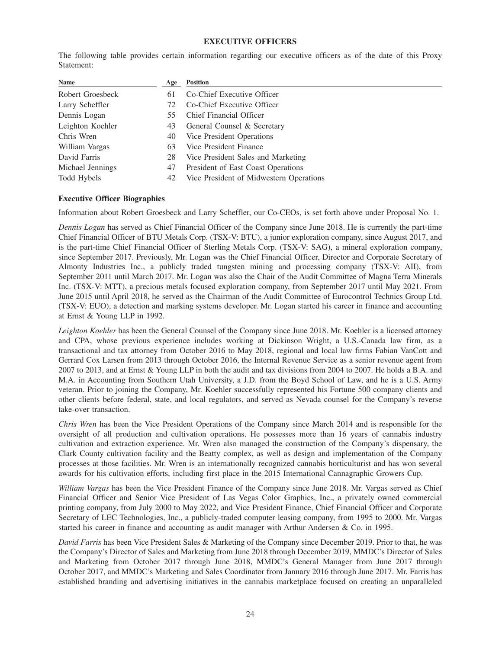#### **EXECUTIVE OFFICERS**

The following table provides certain information regarding our executive officers as of the date of this Proxy Statement:

| Name             | Age | <b>Position</b>                         |
|------------------|-----|-----------------------------------------|
| Robert Groesbeck | 61  | Co-Chief Executive Officer              |
| Larry Scheffler  | 72  | Co-Chief Executive Officer              |
| Dennis Logan     | 55  | Chief Financial Officer                 |
| Leighton Koehler | 43  | General Counsel & Secretary             |
| Chris Wren       | 40  | Vice President Operations               |
| William Vargas   | 63  | Vice President Finance                  |
| David Farris     | 28  | Vice President Sales and Marketing      |
| Michael Jennings | 47  | President of East Coast Operations      |
| Todd Hybels      | 42  | Vice President of Midwestern Operations |

#### **Executive Officer Biographies**

Information about Robert Groesbeck and Larry Scheffler, our Co-CEOs, is set forth above under Proposal No. 1.

*Dennis Logan* has served as Chief Financial Officer of the Company since June 2018. He is currently the part-time Chief Financial Officer of BTU Metals Corp. (TSX-V: BTU), a junior exploration company, since August 2017, and is the part-time Chief Financial Officer of Sterling Metals Corp. (TSX-V: SAG), a mineral exploration company, since September 2017. Previously, Mr. Logan was the Chief Financial Officer, Director and Corporate Secretary of Almonty Industries Inc., a publicly traded tungsten mining and processing company (TSX-V: AII), from September 2011 until March 2017. Mr. Logan was also the Chair of the Audit Committee of Magna Terra Minerals Inc. (TSX-V: MTT), a precious metals focused exploration company, from September 2017 until May 2021. From June 2015 until April 2018, he served as the Chairman of the Audit Committee of Eurocontrol Technics Group Ltd. (TSX-V: EUO), a detection and marking systems developer. Mr. Logan started his career in finance and accounting at Ernst & Young LLP in 1992.

*Leighton Koehler* has been the General Counsel of the Company since June 2018. Mr. Koehler is a licensed attorney and CPA, whose previous experience includes working at Dickinson Wright, a U.S.-Canada law firm, as a transactional and tax attorney from October 2016 to May 2018, regional and local law firms Fabian VanCott and Gerrard Cox Larsen from 2013 through October 2016, the Internal Revenue Service as a senior revenue agent from 2007 to 2013, and at Ernst & Young LLP in both the audit and tax divisions from 2004 to 2007. He holds a B.A. and M.A. in Accounting from Southern Utah University, a J.D. from the Boyd School of Law, and he is a U.S. Army veteran. Prior to joining the Company, Mr. Koehler successfully represented his Fortune 500 company clients and other clients before federal, state, and local regulators, and served as Nevada counsel for the Company's reverse take-over transaction.

*Chris Wren* has been the Vice President Operations of the Company since March 2014 and is responsible for the oversight of all production and cultivation operations. He possesses more than 16 years of cannabis industry cultivation and extraction experience. Mr. Wren also managed the construction of the Company's dispensary, the Clark County cultivation facility and the Beatty complex, as well as design and implementation of the Company processes at those facilities. Mr. Wren is an internationally recognized cannabis horticulturist and has won several awards for his cultivation efforts, including first place in the 2015 International Cannagraphic Growers Cup.

*William Vargas* has been the Vice President Finance of the Company since June 2018. Mr. Vargas served as Chief Financial Officer and Senior Vice President of Las Vegas Color Graphics, Inc., a privately owned commercial printing company, from July 2000 to May 2022, and Vice President Finance, Chief Financial Officer and Corporate Secretary of LEC Technologies, Inc., a publicly-traded computer leasing company, from 1995 to 2000. Mr. Vargas started his career in finance and accounting as audit manager with Arthur Andersen & Co. in 1995.

*David Farris* has been Vice President Sales & Marketing of the Company since December 2019. Prior to that, he was the Company's Director of Sales and Marketing from June 2018 through December 2019, MMDC's Director of Sales and Marketing from October 2017 through June 2018, MMDC's General Manager from June 2017 through October 2017, and MMDC's Marketing and Sales Coordinator from January 2016 through June 2017. Mr. Farris has established branding and advertising initiatives in the cannabis marketplace focused on creating an unparalleled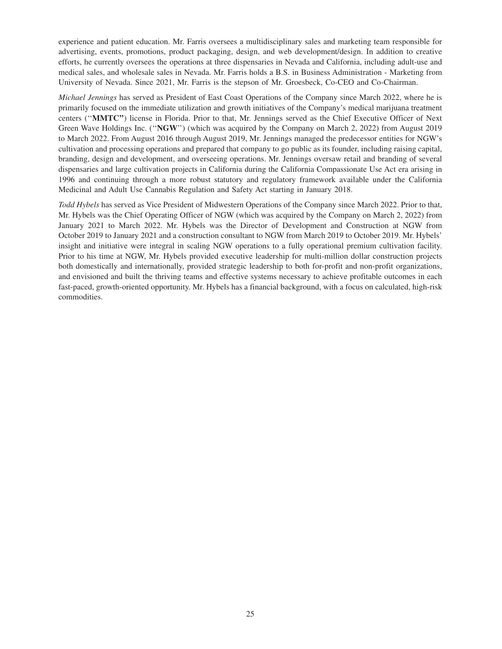experience and patient education. Mr. Farris oversees a multidisciplinary sales and marketing team responsible for advertising, events, promotions, product packaging, design, and web development/design. In addition to creative efforts, he currently oversees the operations at three dispensaries in Nevada and California, including adult-use and medical sales, and wholesale sales in Nevada. Mr. Farris holds a B.S. in Business Administration - Marketing from University of Nevada. Since 2021, Mr. Farris is the stepson of Mr. Groesbeck, Co-CEO and Co-Chairman.

*Michael Jennings* has served as President of East Coast Operations of the Company since March 2022, where he is primarily focused on the immediate utilization and growth initiatives of the Company's medical marijuana treatment centers (''**MMTC''**) license in Florida. Prior to that, Mr. Jennings served as the Chief Executive Officer of Next Green Wave Holdings Inc. (''**NGW**'') (which was acquired by the Company on March 2, 2022) from August 2019 to March 2022. From August 2016 through August 2019, Mr. Jennings managed the predecessor entities for NGW's cultivation and processing operations and prepared that company to go public as its founder, including raising capital, branding, design and development, and overseeing operations. Mr. Jennings oversaw retail and branding of several dispensaries and large cultivation projects in California during the California Compassionate Use Act era arising in 1996 and continuing through a more robust statutory and regulatory framework available under the California Medicinal and Adult Use Cannabis Regulation and Safety Act starting in January 2018.

*Todd Hybels* has served as Vice President of Midwestern Operations of the Company since March 2022. Prior to that, Mr. Hybels was the Chief Operating Officer of NGW (which was acquired by the Company on March 2, 2022) from January 2021 to March 2022. Mr. Hybels was the Director of Development and Construction at NGW from October 2019 to January 2021 and a construction consultant to NGW from March 2019 to October 2019. Mr. Hybels' insight and initiative were integral in scaling NGW operations to a fully operational premium cultivation facility. Prior to his time at NGW, Mr. Hybels provided executive leadership for multi-million dollar construction projects both domestically and internationally, provided strategic leadership to both for-profit and non-profit organizations, and envisioned and built the thriving teams and effective systems necessary to achieve profitable outcomes in each fast-paced, growth-oriented opportunity. Mr. Hybels has a financial background, with a focus on calculated, high-risk commodities.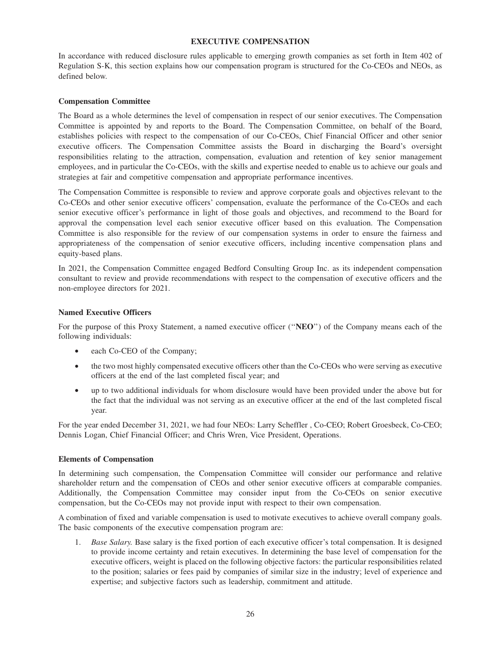### **EXECUTIVE COMPENSATION**

In accordance with reduced disclosure rules applicable to emerging growth companies as set forth in Item 402 of Regulation S-K, this section explains how our compensation program is structured for the Co-CEOs and NEOs, as defined below.

### **Compensation Committee**

The Board as a whole determines the level of compensation in respect of our senior executives. The Compensation Committee is appointed by and reports to the Board. The Compensation Committee, on behalf of the Board, establishes policies with respect to the compensation of our Co-CEOs, Chief Financial Officer and other senior executive officers. The Compensation Committee assists the Board in discharging the Board's oversight responsibilities relating to the attraction, compensation, evaluation and retention of key senior management employees, and in particular the Co-CEOs, with the skills and expertise needed to enable us to achieve our goals and strategies at fair and competitive compensation and appropriate performance incentives.

The Compensation Committee is responsible to review and approve corporate goals and objectives relevant to the Co-CEOs and other senior executive officers' compensation, evaluate the performance of the Co-CEOs and each senior executive officer's performance in light of those goals and objectives, and recommend to the Board for approval the compensation level each senior executive officer based on this evaluation. The Compensation Committee is also responsible for the review of our compensation systems in order to ensure the fairness and appropriateness of the compensation of senior executive officers, including incentive compensation plans and equity-based plans.

In 2021, the Compensation Committee engaged Bedford Consulting Group Inc. as its independent compensation consultant to review and provide recommendations with respect to the compensation of executive officers and the non-employee directors for 2021.

### **Named Executive Officers**

For the purpose of this Proxy Statement, a named executive officer (''**NEO**'') of the Company means each of the following individuals:

- each Co-CEO of the Company;
- the two most highly compensated executive officers other than the Co-CEOs who were serving as executive officers at the end of the last completed fiscal year; and
- up to two additional individuals for whom disclosure would have been provided under the above but for the fact that the individual was not serving as an executive officer at the end of the last completed fiscal year.

For the year ended December 31, 2021, we had four NEOs: Larry Scheffler , Co-CEO; Robert Groesbeck, Co-CEO; Dennis Logan, Chief Financial Officer; and Chris Wren, Vice President, Operations.

#### **Elements of Compensation**

In determining such compensation, the Compensation Committee will consider our performance and relative shareholder return and the compensation of CEOs and other senior executive officers at comparable companies. Additionally, the Compensation Committee may consider input from the Co-CEOs on senior executive compensation, but the Co-CEOs may not provide input with respect to their own compensation.

A combination of fixed and variable compensation is used to motivate executives to achieve overall company goals. The basic components of the executive compensation program are:

1. *Base Salary.* Base salary is the fixed portion of each executive officer's total compensation. It is designed to provide income certainty and retain executives. In determining the base level of compensation for the executive officers, weight is placed on the following objective factors: the particular responsibilities related to the position; salaries or fees paid by companies of similar size in the industry; level of experience and expertise; and subjective factors such as leadership, commitment and attitude.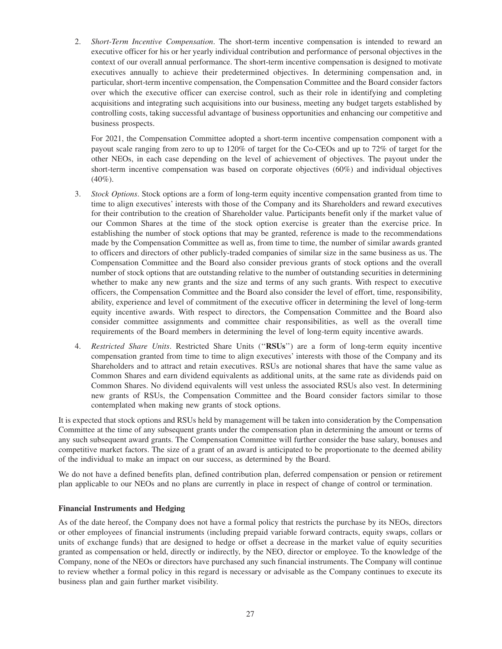2. *Short-Term Incentive Compensation*. The short-term incentive compensation is intended to reward an executive officer for his or her yearly individual contribution and performance of personal objectives in the context of our overall annual performance. The short-term incentive compensation is designed to motivate executives annually to achieve their predetermined objectives. In determining compensation and, in particular, short-term incentive compensation, the Compensation Committee and the Board consider factors over which the executive officer can exercise control, such as their role in identifying and completing acquisitions and integrating such acquisitions into our business, meeting any budget targets established by controlling costs, taking successful advantage of business opportunities and enhancing our competitive and business prospects.

For 2021, the Compensation Committee adopted a short-term incentive compensation component with a payout scale ranging from zero to up to 120% of target for the Co-CEOs and up to 72% of target for the other NEOs, in each case depending on the level of achievement of objectives. The payout under the short-term incentive compensation was based on corporate objectives (60%) and individual objectives  $(40\%)$ .

- 3. *Stock Options*. Stock options are a form of long-term equity incentive compensation granted from time to time to align executives' interests with those of the Company and its Shareholders and reward executives for their contribution to the creation of Shareholder value. Participants benefit only if the market value of our Common Shares at the time of the stock option exercise is greater than the exercise price. In establishing the number of stock options that may be granted, reference is made to the recommendations made by the Compensation Committee as well as, from time to time, the number of similar awards granted to officers and directors of other publicly-traded companies of similar size in the same business as us. The Compensation Committee and the Board also consider previous grants of stock options and the overall number of stock options that are outstanding relative to the number of outstanding securities in determining whether to make any new grants and the size and terms of any such grants. With respect to executive officers, the Compensation Committee and the Board also consider the level of effort, time, responsibility, ability, experience and level of commitment of the executive officer in determining the level of long-term equity incentive awards. With respect to directors, the Compensation Committee and the Board also consider committee assignments and committee chair responsibilities, as well as the overall time requirements of the Board members in determining the level of long-term equity incentive awards.
- 4. *Restricted Share Units*. Restricted Share Units (''**RSUs**'') are a form of long-term equity incentive compensation granted from time to time to align executives' interests with those of the Company and its Shareholders and to attract and retain executives. RSUs are notional shares that have the same value as Common Shares and earn dividend equivalents as additional units, at the same rate as dividends paid on Common Shares. No dividend equivalents will vest unless the associated RSUs also vest. In determining new grants of RSUs, the Compensation Committee and the Board consider factors similar to those contemplated when making new grants of stock options.

It is expected that stock options and RSUs held by management will be taken into consideration by the Compensation Committee at the time of any subsequent grants under the compensation plan in determining the amount or terms of any such subsequent award grants. The Compensation Committee will further consider the base salary, bonuses and competitive market factors. The size of a grant of an award is anticipated to be proportionate to the deemed ability of the individual to make an impact on our success, as determined by the Board.

We do not have a defined benefits plan, defined contribution plan, deferred compensation or pension or retirement plan applicable to our NEOs and no plans are currently in place in respect of change of control or termination.

### **Financial Instruments and Hedging**

As of the date hereof, the Company does not have a formal policy that restricts the purchase by its NEOs, directors or other employees of financial instruments (including prepaid variable forward contracts, equity swaps, collars or units of exchange funds) that are designed to hedge or offset a decrease in the market value of equity securities granted as compensation or held, directly or indirectly, by the NEO, director or employee. To the knowledge of the Company, none of the NEOs or directors have purchased any such financial instruments. The Company will continue to review whether a formal policy in this regard is necessary or advisable as the Company continues to execute its business plan and gain further market visibility.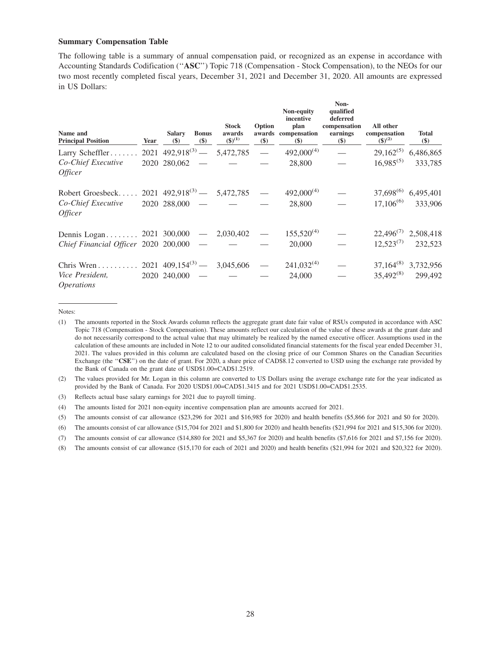#### **Summary Compensation Table**

The following table is a summary of annual compensation paid, or recognized as an expense in accordance with Accounting Standards Codification (''**ASC**'') Topic 718 (Compensation - Stock Compensation), to the NEOs for our two most recently completed fiscal years, December 31, 2021 and December 31, 2020. All amounts are expressed in US Dollars:

| Name and<br><b>Principal Position</b>       | Year | <b>Salary</b><br>$(\$)$ | <b>Bonus</b><br>$(\$)$ | <b>Stock</b><br>awards<br>$({\bf 8})^{(1)}$ | Option<br>\$) | Non-equity<br>incentive<br>plan<br>awards compensation<br>$(\$)$ | Non-<br>qualified<br>deferred<br>compensation<br>earnings<br>$(\$)$ | All other<br>compensation<br>$({\$})^{(2)}$ | <b>Total</b><br>\$)             |
|---------------------------------------------|------|-------------------------|------------------------|---------------------------------------------|---------------|------------------------------------------------------------------|---------------------------------------------------------------------|---------------------------------------------|---------------------------------|
| Larry Scheffler                             |      |                         |                        | $2021 \t492,918^{(3)} - 5,472,785$          | $\equiv$      | $492,000^{(4)}$                                                  |                                                                     | $29,162^{(5)}$                              | 6,486,865                       |
| Co-Chief Executive<br><i>Officer</i>        |      | $2020$ $280,062$ -      |                        |                                             |               | 28,800                                                           |                                                                     | $16,985^{(5)}$                              | 333,785                         |
| Robert Groesbeck                            |      |                         |                        | $2021 \t492,918^{(3)} - 5,472,785 -$        |               | $492,000^{(4)}$                                                  |                                                                     |                                             | 37,698 <sup>(6)</sup> 6,495,401 |
| Co-Chief Executive<br><i>Officer</i>        |      | $2020$ 288,000 -        |                        |                                             |               | 28,800                                                           |                                                                     | $17,106^{(6)}$                              | 333,906                         |
| Dennis Logan 2021 300,000 - 2,030,402       |      |                         |                        |                                             |               | $155,520^{(4)}$                                                  |                                                                     |                                             | $22,496^{(7)}$ 2,508,418        |
| Chief Financial Officer 2020 200,000 -      |      |                         |                        |                                             |               | 20,000                                                           |                                                                     | $12,523^{(7)}$                              | 232,523                         |
|                                             |      |                         |                        | $2021 \t409, 154^{(3)} - 3, 045, 606$       |               | $241,032^{(4)}$                                                  |                                                                     |                                             | $37,164^{(8)}$ 3,732,956        |
| <i>Vice President,</i><br><i>Operations</i> |      | $2020$ 240,000 -        |                        |                                             |               | 24,000                                                           |                                                                     | $35,492^{(8)}$                              | 299,492                         |

Notes:

<sup>(1)</sup> The amounts reported in the Stock Awards column reflects the aggregate grant date fair value of RSUs computed in accordance with ASC Topic 718 (Compensation - Stock Compensation). These amounts reflect our calculation of the value of these awards at the grant date and do not necessarily correspond to the actual value that may ultimately be realized by the named executive officer. Assumptions used in the calculation of these amounts are included in Note 12 to our audited consolidated financial statements for the fiscal year ended December 31, 2021. The values provided in this column are calculated based on the closing price of our Common Shares on the Canadian Securities Exchange (the ''**CSE**'') on the date of grant. For 2020, a share price of CAD\$8.12 converted to USD using the exchange rate provided by the Bank of Canada on the grant date of USD\$1.00=CAD\$1.2519.

<sup>(2)</sup> The values provided for Mr. Logan in this column are converted to US Dollars using the average exchange rate for the year indicated as provided by the Bank of Canada. For 2020 USD\$1.00=CAD\$1.3415 and for 2021 USD\$1.00=CAD\$1.2535.

<sup>(3)</sup> Reflects actual base salary earnings for 2021 due to payroll timing.

<sup>(4)</sup> The amounts listed for 2021 non-equity incentive compensation plan are amounts accrued for 2021.

<sup>(5)</sup> The amounts consist of car allowance (\$23,296 for 2021 and \$16,985 for 2020) and health benefits (\$5,866 for 2021 and \$0 for 2020).

<sup>(6)</sup> The amounts consist of car allowance (\$15,704 for 2021 and \$1,800 for 2020) and health benefits (\$21,994 for 2021 and \$15,306 for 2020).

<sup>(7)</sup> The amounts consist of car allowance (\$14,880 for 2021 and \$5,367 for 2020) and health benefits (\$7,616 for 2021 and \$7,156 for 2020).

<sup>(8)</sup> The amounts consist of car allowance (\$15,170 for each of 2021 and 2020) and health benefits (\$21,994 for 2021 and \$20,322 for 2020).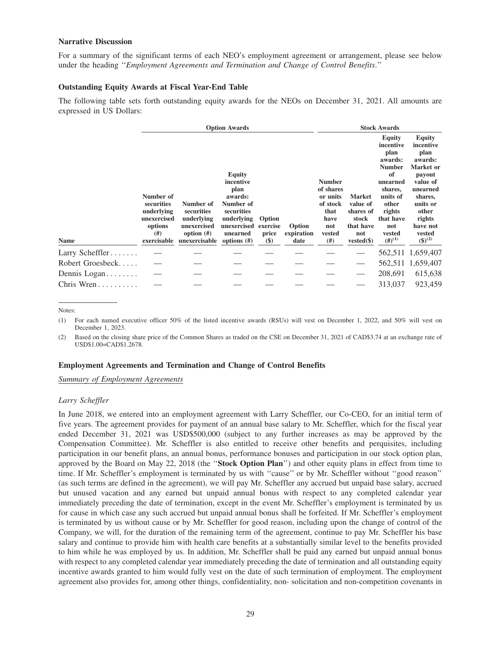#### **Narrative Discussion**

For a summary of the significant terms of each NEO's employment agreement or arrangement, please see below under the heading ''*Employment Agreements and Termination and Change of Control Benefits*.''

#### **Outstanding Equity Awards at Fiscal Year-End Table**

The following table sets forth outstanding equity awards for the NEOs on December 31, 2021. All amounts are expressed in US Dollars:

|                  |                                                                             |                                                                       | <b>Option Awards</b>                                                                                              |                             |                      |                                                                                     |                                                                     | <b>Stock Awards</b>                                                                                                                                      |                                                                                                                                                              |
|------------------|-----------------------------------------------------------------------------|-----------------------------------------------------------------------|-------------------------------------------------------------------------------------------------------------------|-----------------------------|----------------------|-------------------------------------------------------------------------------------|---------------------------------------------------------------------|----------------------------------------------------------------------------------------------------------------------------------------------------------|--------------------------------------------------------------------------------------------------------------------------------------------------------------|
|                  | Number of<br>securities<br>underlying<br>unexercised<br>options<br>$^{(#)}$ | Number of<br>securities<br>underlying<br>unexercised<br>option $(\#)$ | <b>Equity</b><br>incentive<br>plan<br>awards:<br>Number of<br>securities<br>underlying<br>unexercised<br>unearned | Option<br>exercise<br>price | Option<br>expiration | <b>Number</b><br>of shares<br>or units<br>of stock<br>that<br>have<br>not<br>vested | <b>Market</b><br>value of<br>shares of<br>stock<br>that have<br>not | <b>Equity</b><br>incentive<br>plan<br>awards:<br><b>Number</b><br>of<br>unearned<br>shares,<br>units of<br>other<br>rights<br>that have<br>not<br>vested | <b>Equity</b><br>incentive<br>plan<br>awards:<br>Market or<br>payout<br>value of<br>unearned<br>shares,<br>units or<br>other<br>rights<br>have not<br>vested |
| <b>Name</b>      | exercisable                                                                 | unexercisable                                                         | options $(\#)$                                                                                                    | $(\$)$                      | date                 | (# )                                                                                | $vested(\$)$                                                        | $($ # $)($ <sup>1</sup> $)$                                                                                                                              | $({\$})^{(2)}$                                                                                                                                               |
| Larry Scheffler  |                                                                             |                                                                       |                                                                                                                   |                             |                      |                                                                                     |                                                                     |                                                                                                                                                          | 562,511 1,659,407                                                                                                                                            |
| Robert Groesbeck |                                                                             |                                                                       |                                                                                                                   |                             |                      |                                                                                     |                                                                     |                                                                                                                                                          | 562,511 1,659,407                                                                                                                                            |
| Dennis Logan     |                                                                             |                                                                       |                                                                                                                   |                             |                      |                                                                                     |                                                                     | 208,691                                                                                                                                                  | 615,638                                                                                                                                                      |
| Chris Wren       |                                                                             |                                                                       |                                                                                                                   |                             |                      |                                                                                     |                                                                     | 313,037                                                                                                                                                  | 923,459                                                                                                                                                      |
|                  |                                                                             |                                                                       |                                                                                                                   |                             |                      |                                                                                     |                                                                     |                                                                                                                                                          |                                                                                                                                                              |

Notes:

(1) For each named executive officer 50% of the listed incentive awards (RSUs) will vest on December 1, 2022, and 50% will vest on December 1, 2023.

(2) Based on the closing share price of the Common Shares as traded on the CSE on December 31, 2021 of CAD\$3.74 at an exchange rate of USD\$1.00=CAD\$1.2678.

#### **Employment Agreements and Termination and Change of Control Benefits**

*Summary of Employment Agreements*

#### *Larry Scheffler*

In June 2018, we entered into an employment agreement with Larry Scheffler, our Co-CEO, for an initial term of five years. The agreement provides for payment of an annual base salary to Mr. Scheffler, which for the fiscal year ended December 31, 2021 was USD\$500,000 (subject to any further increases as may be approved by the Compensation Committee). Mr. Scheffler is also entitled to receive other benefits and perquisites, including participation in our benefit plans, an annual bonus, performance bonuses and participation in our stock option plan, approved by the Board on May 22, 2018 (the ''**Stock Option Plan**'') and other equity plans in effect from time to time. If Mr. Scheffler's employment is terminated by us with ''cause'' or by Mr. Scheffler without ''good reason'' (as such terms are defined in the agreement), we will pay Mr. Scheffler any accrued but unpaid base salary, accrued but unused vacation and any earned but unpaid annual bonus with respect to any completed calendar year immediately preceding the date of termination, except in the event Mr. Scheffler's employment is terminated by us for cause in which case any such accrued but unpaid annual bonus shall be forfeited. If Mr. Scheffler's employment is terminated by us without cause or by Mr. Scheffler for good reason, including upon the change of control of the Company, we will, for the duration of the remaining term of the agreement, continue to pay Mr. Scheffler his base salary and continue to provide him with health care benefits at a substantially similar level to the benefits provided to him while he was employed by us. In addition, Mr. Scheffler shall be paid any earned but unpaid annual bonus with respect to any completed calendar year immediately preceding the date of termination and all outstanding equity incentive awards granted to him would fully vest on the date of such termination of employment. The employment agreement also provides for, among other things, confidentiality, non- solicitation and non-competition covenants in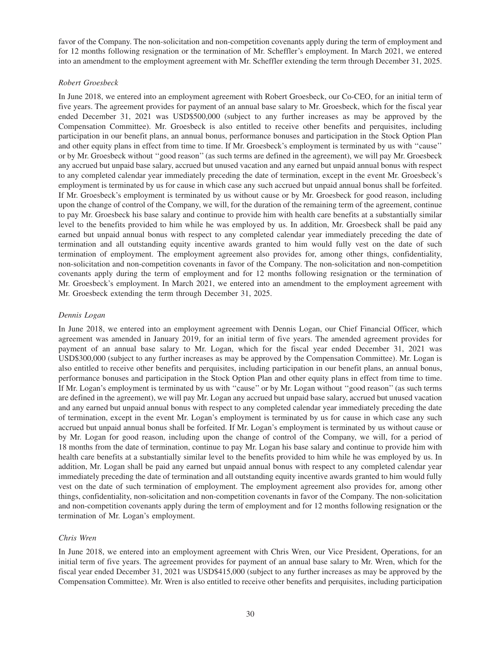favor of the Company. The non-solicitation and non-competition covenants apply during the term of employment and for 12 months following resignation or the termination of Mr. Scheffler's employment. In March 2021, we entered into an amendment to the employment agreement with Mr. Scheffler extending the term through December 31, 2025.

### *Robert Groesbeck*

In June 2018, we entered into an employment agreement with Robert Groesbeck, our Co-CEO, for an initial term of five years. The agreement provides for payment of an annual base salary to Mr. Groesbeck, which for the fiscal year ended December 31, 2021 was USD\$500,000 (subject to any further increases as may be approved by the Compensation Committee). Mr. Groesbeck is also entitled to receive other benefits and perquisites, including participation in our benefit plans, an annual bonus, performance bonuses and participation in the Stock Option Plan and other equity plans in effect from time to time. If Mr. Groesbeck's employment is terminated by us with ''cause'' or by Mr. Groesbeck without ''good reason'' (as such terms are defined in the agreement), we will pay Mr. Groesbeck any accrued but unpaid base salary, accrued but unused vacation and any earned but unpaid annual bonus with respect to any completed calendar year immediately preceding the date of termination, except in the event Mr. Groesbeck's employment is terminated by us for cause in which case any such accrued but unpaid annual bonus shall be forfeited. If Mr. Groesbeck's employment is terminated by us without cause or by Mr. Groesbeck for good reason, including upon the change of control of the Company, we will, for the duration of the remaining term of the agreement, continue to pay Mr. Groesbeck his base salary and continue to provide him with health care benefits at a substantially similar level to the benefits provided to him while he was employed by us. In addition, Mr. Groesbeck shall be paid any earned but unpaid annual bonus with respect to any completed calendar year immediately preceding the date of termination and all outstanding equity incentive awards granted to him would fully vest on the date of such termination of employment. The employment agreement also provides for, among other things, confidentiality, non-solicitation and non-competition covenants in favor of the Company. The non-solicitation and non-competition covenants apply during the term of employment and for 12 months following resignation or the termination of Mr. Groesbeck's employment. In March 2021, we entered into an amendment to the employment agreement with Mr. Groesbeck extending the term through December 31, 2025.

### *Dennis Logan*

In June 2018, we entered into an employment agreement with Dennis Logan, our Chief Financial Officer, which agreement was amended in January 2019, for an initial term of five years. The amended agreement provides for payment of an annual base salary to Mr. Logan, which for the fiscal year ended December 31, 2021 was USD\$300,000 (subject to any further increases as may be approved by the Compensation Committee). Mr. Logan is also entitled to receive other benefits and perquisites, including participation in our benefit plans, an annual bonus, performance bonuses and participation in the Stock Option Plan and other equity plans in effect from time to time. If Mr. Logan's employment is terminated by us with ''cause'' or by Mr. Logan without ''good reason'' (as such terms are defined in the agreement), we will pay Mr. Logan any accrued but unpaid base salary, accrued but unused vacation and any earned but unpaid annual bonus with respect to any completed calendar year immediately preceding the date of termination, except in the event Mr. Logan's employment is terminated by us for cause in which case any such accrued but unpaid annual bonus shall be forfeited. If Mr. Logan's employment is terminated by us without cause or by Mr. Logan for good reason, including upon the change of control of the Company, we will, for a period of 18 months from the date of termination, continue to pay Mr. Logan his base salary and continue to provide him with health care benefits at a substantially similar level to the benefits provided to him while he was employed by us. In addition, Mr. Logan shall be paid any earned but unpaid annual bonus with respect to any completed calendar year immediately preceding the date of termination and all outstanding equity incentive awards granted to him would fully vest on the date of such termination of employment. The employment agreement also provides for, among other things, confidentiality, non-solicitation and non-competition covenants in favor of the Company. The non-solicitation and non-competition covenants apply during the term of employment and for 12 months following resignation or the termination of Mr. Logan's employment.

### *Chris Wren*

In June 2018, we entered into an employment agreement with Chris Wren, our Vice President, Operations, for an initial term of five years. The agreement provides for payment of an annual base salary to Mr. Wren, which for the fiscal year ended December 31, 2021 was USD\$415,000 (subject to any further increases as may be approved by the Compensation Committee). Mr. Wren is also entitled to receive other benefits and perquisites, including participation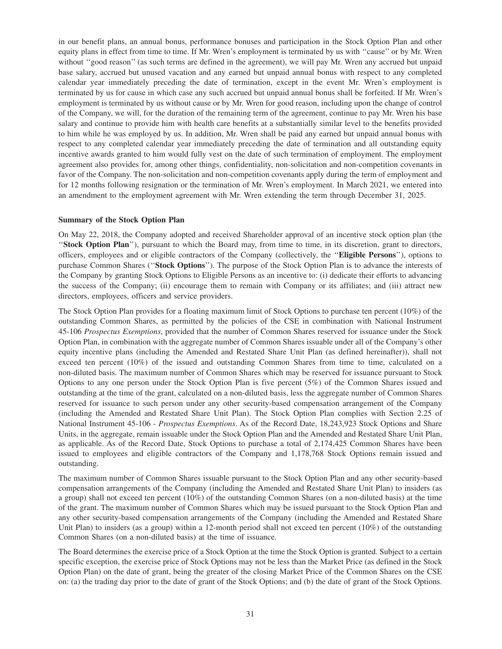in our benefit plans, an annual bonus, performance bonuses and participation in the Stock Option Plan and other equity plans in effect from time to time. If Mr. Wren's employment is terminated by us with ''cause'' or by Mr. Wren without "good reason" (as such terms are defined in the agreement), we will pay Mr. Wren any accrued but unpaid base salary, accrued but unused vacation and any earned but unpaid annual bonus with respect to any completed calendar year immediately preceding the date of termination, except in the event Mr. Wren's employment is terminated by us for cause in which case any such accrued but unpaid annual bonus shall be forfeited. If Mr. Wren's employment is terminated by us without cause or by Mr. Wren for good reason, including upon the change of control of the Company, we will, for the duration of the remaining term of the agreement, continue to pay Mr. Wren his base salary and continue to provide him with health care benefits at a substantially similar level to the benefits provided to him while he was employed by us. In addition, Mr. Wren shall be paid any earned but unpaid annual bonus with respect to any completed calendar year immediately preceding the date of termination and all outstanding equity incentive awards granted to him would fully vest on the date of such termination of employment. The employment agreement also provides for, among other things, confidentiality, non-solicitation and non-competition covenants in favor of the Company. The non-solicitation and non-competition covenants apply during the term of employment and for 12 months following resignation or the termination of Mr. Wren's employment. In March 2021, we entered into an amendment to the employment agreement with Mr. Wren extending the term through December 31, 2025.

#### **Summary of the Stock Option Plan**

On May 22, 2018, the Company adopted and received Shareholder approval of an incentive stock option plan (the ''**Stock Option Plan**''), pursuant to which the Board may, from time to time, in its discretion, grant to directors, officers, employees and or eligible contractors of the Company (collectively, the ''**Eligible Persons**''), options to purchase Common Shares (''**Stock Options**''). The purpose of the Stock Option Plan is to advance the interests of the Company by granting Stock Options to Eligible Persons as an incentive to: (i) dedicate their efforts to advancing the success of the Company; (ii) encourage them to remain with Company or its affiliates; and (iii) attract new directors, employees, officers and service providers.

The Stock Option Plan provides for a floating maximum limit of Stock Options to purchase ten percent (10%) of the outstanding Common Shares, as permitted by the policies of the CSE in combination with National Instrument 45-106 *Prospectus Exemptions*, provided that the number of Common Shares reserved for issuance under the Stock Option Plan, in combination with the aggregate number of Common Shares issuable under all of the Company's other equity incentive plans (including the Amended and Restated Share Unit Plan (as defined hereinafter)), shall not exceed ten percent (10%) of the issued and outstanding Common Shares from time to time, calculated on a non-diluted basis. The maximum number of Common Shares which may be reserved for issuance pursuant to Stock Options to any one person under the Stock Option Plan is five percent (5%) of the Common Shares issued and outstanding at the time of the grant, calculated on a non-diluted basis, less the aggregate number of Common Shares reserved for issuance to such person under any other security-based compensation arrangement of the Company (including the Amended and Restated Share Unit Plan). The Stock Option Plan complies with Section 2.25 of National Instrument 45-106 - *Prospectus Exemptions*. As of the Record Date, 18,243,923 Stock Options and Share Units, in the aggregate, remain issuable under the Stock Option Plan and the Amended and Restated Share Unit Plan, as applicable. As of the Record Date, Stock Options to purchase a total of 2,174,425 Common Shares have been issued to employees and eligible contractors of the Company and 1,178,768 Stock Options remain issued and outstanding.

The maximum number of Common Shares issuable pursuant to the Stock Option Plan and any other security-based compensation arrangements of the Company (including the Amended and Restated Share Unit Plan) to insiders (as a group) shall not exceed ten percent (10%) of the outstanding Common Shares (on a non-diluted basis) at the time of the grant. The maximum number of Common Shares which may be issued pursuant to the Stock Option Plan and any other security-based compensation arrangements of the Company (including the Amended and Restated Share Unit Plan) to insiders (as a group) within a 12-month period shall not exceed ten percent (10%) of the outstanding Common Shares (on a non-diluted basis) at the time of issuance.

The Board determines the exercise price of a Stock Option at the time the Stock Option is granted. Subject to a certain specific exception, the exercise price of Stock Options may not be less than the Market Price (as defined in the Stock Option Plan) on the date of grant, being the greater of the closing Market Price of the Common Shares on the CSE on: (a) the trading day prior to the date of grant of the Stock Options; and (b) the date of grant of the Stock Options.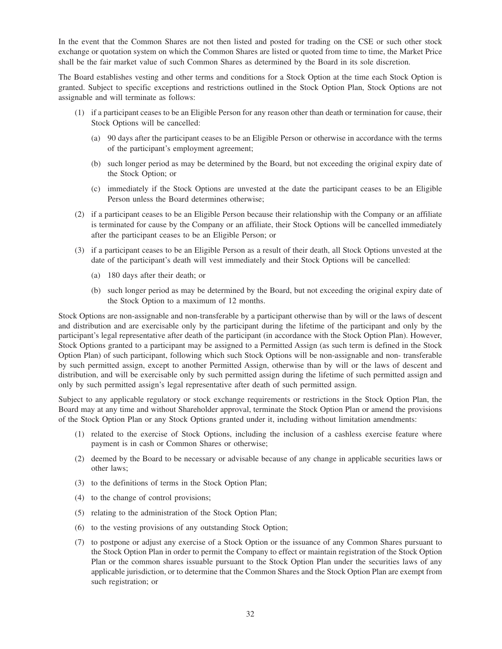In the event that the Common Shares are not then listed and posted for trading on the CSE or such other stock exchange or quotation system on which the Common Shares are listed or quoted from time to time, the Market Price shall be the fair market value of such Common Shares as determined by the Board in its sole discretion.

The Board establishes vesting and other terms and conditions for a Stock Option at the time each Stock Option is granted. Subject to specific exceptions and restrictions outlined in the Stock Option Plan, Stock Options are not assignable and will terminate as follows:

- (1) if a participant ceases to be an Eligible Person for any reason other than death or termination for cause, their Stock Options will be cancelled:
	- (a) 90 days after the participant ceases to be an Eligible Person or otherwise in accordance with the terms of the participant's employment agreement;
	- (b) such longer period as may be determined by the Board, but not exceeding the original expiry date of the Stock Option; or
	- (c) immediately if the Stock Options are unvested at the date the participant ceases to be an Eligible Person unless the Board determines otherwise;
- (2) if a participant ceases to be an Eligible Person because their relationship with the Company or an affiliate is terminated for cause by the Company or an affiliate, their Stock Options will be cancelled immediately after the participant ceases to be an Eligible Person; or
- (3) if a participant ceases to be an Eligible Person as a result of their death, all Stock Options unvested at the date of the participant's death will vest immediately and their Stock Options will be cancelled:
	- (a) 180 days after their death; or
	- (b) such longer period as may be determined by the Board, but not exceeding the original expiry date of the Stock Option to a maximum of 12 months.

Stock Options are non-assignable and non-transferable by a participant otherwise than by will or the laws of descent and distribution and are exercisable only by the participant during the lifetime of the participant and only by the participant's legal representative after death of the participant (in accordance with the Stock Option Plan). However, Stock Options granted to a participant may be assigned to a Permitted Assign (as such term is defined in the Stock Option Plan) of such participant, following which such Stock Options will be non-assignable and non- transferable by such permitted assign, except to another Permitted Assign, otherwise than by will or the laws of descent and distribution, and will be exercisable only by such permitted assign during the lifetime of such permitted assign and only by such permitted assign's legal representative after death of such permitted assign.

Subject to any applicable regulatory or stock exchange requirements or restrictions in the Stock Option Plan, the Board may at any time and without Shareholder approval, terminate the Stock Option Plan or amend the provisions of the Stock Option Plan or any Stock Options granted under it, including without limitation amendments:

- (1) related to the exercise of Stock Options, including the inclusion of a cashless exercise feature where payment is in cash or Common Shares or otherwise;
- (2) deemed by the Board to be necessary or advisable because of any change in applicable securities laws or other laws;
- (3) to the definitions of terms in the Stock Option Plan;
- (4) to the change of control provisions;
- (5) relating to the administration of the Stock Option Plan;
- (6) to the vesting provisions of any outstanding Stock Option;
- (7) to postpone or adjust any exercise of a Stock Option or the issuance of any Common Shares pursuant to the Stock Option Plan in order to permit the Company to effect or maintain registration of the Stock Option Plan or the common shares issuable pursuant to the Stock Option Plan under the securities laws of any applicable jurisdiction, or to determine that the Common Shares and the Stock Option Plan are exempt from such registration; or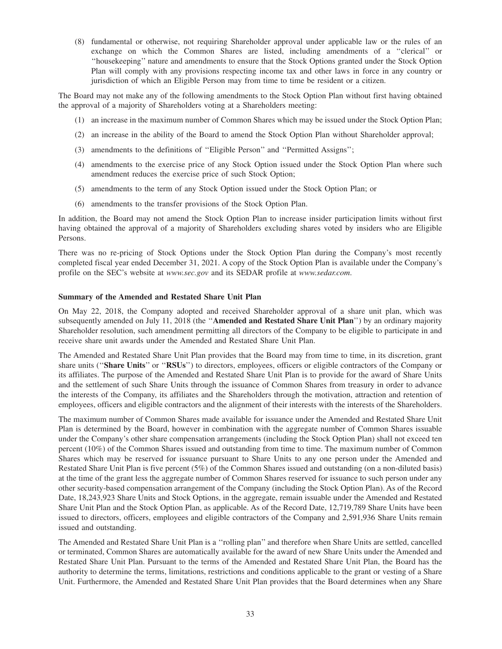(8) fundamental or otherwise, not requiring Shareholder approval under applicable law or the rules of an exchange on which the Common Shares are listed, including amendments of a ''clerical'' or ''housekeeping'' nature and amendments to ensure that the Stock Options granted under the Stock Option Plan will comply with any provisions respecting income tax and other laws in force in any country or jurisdiction of which an Eligible Person may from time to time be resident or a citizen.

The Board may not make any of the following amendments to the Stock Option Plan without first having obtained the approval of a majority of Shareholders voting at a Shareholders meeting:

- (1) an increase in the maximum number of Common Shares which may be issued under the Stock Option Plan;
- (2) an increase in the ability of the Board to amend the Stock Option Plan without Shareholder approval;
- (3) amendments to the definitions of ''Eligible Person'' and ''Permitted Assigns'';
- (4) amendments to the exercise price of any Stock Option issued under the Stock Option Plan where such amendment reduces the exercise price of such Stock Option;
- (5) amendments to the term of any Stock Option issued under the Stock Option Plan; or
- (6) amendments to the transfer provisions of the Stock Option Plan.

In addition, the Board may not amend the Stock Option Plan to increase insider participation limits without first having obtained the approval of a majority of Shareholders excluding shares voted by insiders who are Eligible Persons.

There was no re-pricing of Stock Options under the Stock Option Plan during the Company's most recently completed fiscal year ended December 31, 2021. A copy of the Stock Option Plan is available under the Company's profile on the SEC's website at *www.sec.gov* and its SEDAR profile at *www.sedar.com*.

### **Summary of the Amended and Restated Share Unit Plan**

On May 22, 2018, the Company adopted and received Shareholder approval of a share unit plan, which was subsequently amended on July 11, 2018 (the ''**Amended and Restated Share Unit Plan**'') by an ordinary majority Shareholder resolution, such amendment permitting all directors of the Company to be eligible to participate in and receive share unit awards under the Amended and Restated Share Unit Plan.

The Amended and Restated Share Unit Plan provides that the Board may from time to time, in its discretion, grant share units (''**Share Units**'' or ''**RSUs**'') to directors, employees, officers or eligible contractors of the Company or its affiliates. The purpose of the Amended and Restated Share Unit Plan is to provide for the award of Share Units and the settlement of such Share Units through the issuance of Common Shares from treasury in order to advance the interests of the Company, its affiliates and the Shareholders through the motivation, attraction and retention of employees, officers and eligible contractors and the alignment of their interests with the interests of the Shareholders.

The maximum number of Common Shares made available for issuance under the Amended and Restated Share Unit Plan is determined by the Board, however in combination with the aggregate number of Common Shares issuable under the Company's other share compensation arrangements (including the Stock Option Plan) shall not exceed ten percent (10%) of the Common Shares issued and outstanding from time to time. The maximum number of Common Shares which may be reserved for issuance pursuant to Share Units to any one person under the Amended and Restated Share Unit Plan is five percent (5%) of the Common Shares issued and outstanding (on a non-diluted basis) at the time of the grant less the aggregate number of Common Shares reserved for issuance to such person under any other security-based compensation arrangement of the Company (including the Stock Option Plan). As of the Record Date, 18,243,923 Share Units and Stock Options, in the aggregate, remain issuable under the Amended and Restated Share Unit Plan and the Stock Option Plan, as applicable. As of the Record Date, 12,719,789 Share Units have been issued to directors, officers, employees and eligible contractors of the Company and 2,591,936 Share Units remain issued and outstanding.

The Amended and Restated Share Unit Plan is a ''rolling plan'' and therefore when Share Units are settled, cancelled or terminated, Common Shares are automatically available for the award of new Share Units under the Amended and Restated Share Unit Plan. Pursuant to the terms of the Amended and Restated Share Unit Plan, the Board has the authority to determine the terms, limitations, restrictions and conditions applicable to the grant or vesting of a Share Unit. Furthermore, the Amended and Restated Share Unit Plan provides that the Board determines when any Share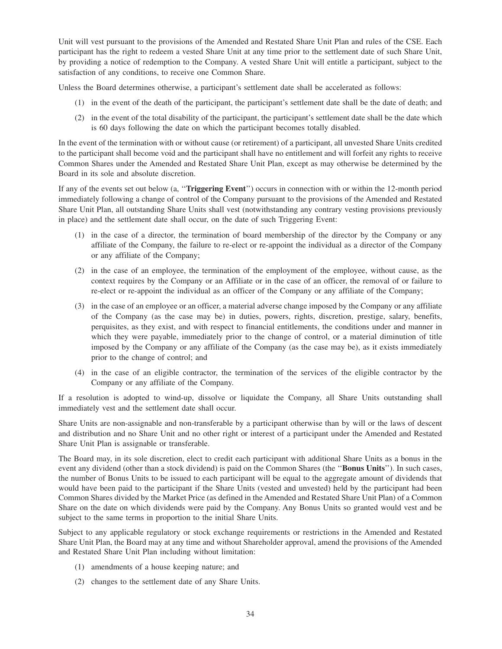Unit will vest pursuant to the provisions of the Amended and Restated Share Unit Plan and rules of the CSE. Each participant has the right to redeem a vested Share Unit at any time prior to the settlement date of such Share Unit, by providing a notice of redemption to the Company. A vested Share Unit will entitle a participant, subject to the satisfaction of any conditions, to receive one Common Share.

Unless the Board determines otherwise, a participant's settlement date shall be accelerated as follows:

- (1) in the event of the death of the participant, the participant's settlement date shall be the date of death; and
- (2) in the event of the total disability of the participant, the participant's settlement date shall be the date which is 60 days following the date on which the participant becomes totally disabled.

In the event of the termination with or without cause (or retirement) of a participant, all unvested Share Units credited to the participant shall become void and the participant shall have no entitlement and will forfeit any rights to receive Common Shares under the Amended and Restated Share Unit Plan, except as may otherwise be determined by the Board in its sole and absolute discretion.

If any of the events set out below (a, ''**Triggering Event**'') occurs in connection with or within the 12-month period immediately following a change of control of the Company pursuant to the provisions of the Amended and Restated Share Unit Plan, all outstanding Share Units shall vest (notwithstanding any contrary vesting provisions previously in place) and the settlement date shall occur, on the date of such Triggering Event:

- (1) in the case of a director, the termination of board membership of the director by the Company or any affiliate of the Company, the failure to re-elect or re-appoint the individual as a director of the Company or any affiliate of the Company;
- (2) in the case of an employee, the termination of the employment of the employee, without cause, as the context requires by the Company or an Affiliate or in the case of an officer, the removal of or failure to re-elect or re-appoint the individual as an officer of the Company or any affiliate of the Company;
- (3) in the case of an employee or an officer, a material adverse change imposed by the Company or any affiliate of the Company (as the case may be) in duties, powers, rights, discretion, prestige, salary, benefits, perquisites, as they exist, and with respect to financial entitlements, the conditions under and manner in which they were payable, immediately prior to the change of control, or a material diminution of title imposed by the Company or any affiliate of the Company (as the case may be), as it exists immediately prior to the change of control; and
- (4) in the case of an eligible contractor, the termination of the services of the eligible contractor by the Company or any affiliate of the Company.

If a resolution is adopted to wind-up, dissolve or liquidate the Company, all Share Units outstanding shall immediately vest and the settlement date shall occur.

Share Units are non-assignable and non-transferable by a participant otherwise than by will or the laws of descent and distribution and no Share Unit and no other right or interest of a participant under the Amended and Restated Share Unit Plan is assignable or transferable.

The Board may, in its sole discretion, elect to credit each participant with additional Share Units as a bonus in the event any dividend (other than a stock dividend) is paid on the Common Shares (the ''**Bonus Units**''). In such cases, the number of Bonus Units to be issued to each participant will be equal to the aggregate amount of dividends that would have been paid to the participant if the Share Units (vested and unvested) held by the participant had been Common Shares divided by the Market Price (as defined in the Amended and Restated Share Unit Plan) of a Common Share on the date on which dividends were paid by the Company. Any Bonus Units so granted would vest and be subject to the same terms in proportion to the initial Share Units.

Subject to any applicable regulatory or stock exchange requirements or restrictions in the Amended and Restated Share Unit Plan, the Board may at any time and without Shareholder approval, amend the provisions of the Amended and Restated Share Unit Plan including without limitation:

- (1) amendments of a house keeping nature; and
- (2) changes to the settlement date of any Share Units.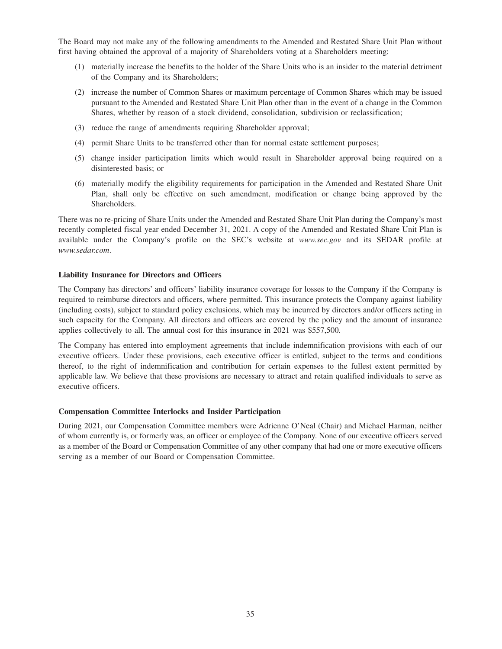The Board may not make any of the following amendments to the Amended and Restated Share Unit Plan without first having obtained the approval of a majority of Shareholders voting at a Shareholders meeting:

- (1) materially increase the benefits to the holder of the Share Units who is an insider to the material detriment of the Company and its Shareholders;
- (2) increase the number of Common Shares or maximum percentage of Common Shares which may be issued pursuant to the Amended and Restated Share Unit Plan other than in the event of a change in the Common Shares, whether by reason of a stock dividend, consolidation, subdivision or reclassification;
- (3) reduce the range of amendments requiring Shareholder approval;
- (4) permit Share Units to be transferred other than for normal estate settlement purposes;
- (5) change insider participation limits which would result in Shareholder approval being required on a disinterested basis; or
- (6) materially modify the eligibility requirements for participation in the Amended and Restated Share Unit Plan, shall only be effective on such amendment, modification or change being approved by the Shareholders.

There was no re-pricing of Share Units under the Amended and Restated Share Unit Plan during the Company's most recently completed fiscal year ended December 31, 2021. A copy of the Amended and Restated Share Unit Plan is available under the Company's profile on the SEC's website at *www.sec.gov* and its SEDAR profile at *www.sedar.com*.

### **Liability Insurance for Directors and Officers**

The Company has directors' and officers' liability insurance coverage for losses to the Company if the Company is required to reimburse directors and officers, where permitted. This insurance protects the Company against liability (including costs), subject to standard policy exclusions, which may be incurred by directors and/or officers acting in such capacity for the Company. All directors and officers are covered by the policy and the amount of insurance applies collectively to all. The annual cost for this insurance in 2021 was \$557,500.

The Company has entered into employment agreements that include indemnification provisions with each of our executive officers. Under these provisions, each executive officer is entitled, subject to the terms and conditions thereof, to the right of indemnification and contribution for certain expenses to the fullest extent permitted by applicable law. We believe that these provisions are necessary to attract and retain qualified individuals to serve as executive officers.

#### **Compensation Committee Interlocks and Insider Participation**

During 2021, our Compensation Committee members were Adrienne O'Neal (Chair) and Michael Harman, neither of whom currently is, or formerly was, an officer or employee of the Company. None of our executive officers served as a member of the Board or Compensation Committee of any other company that had one or more executive officers serving as a member of our Board or Compensation Committee.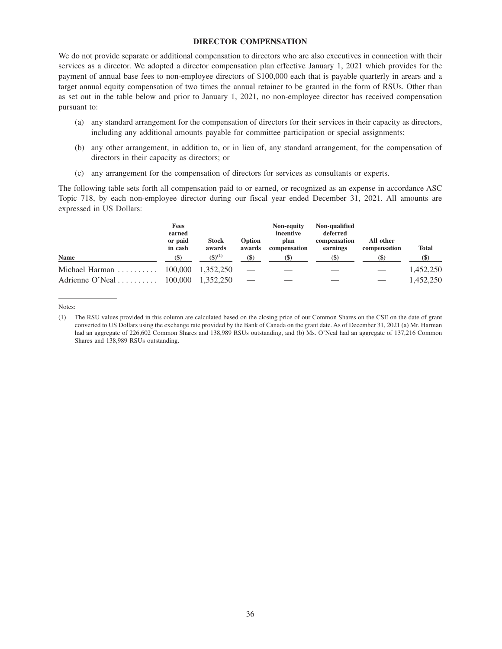#### **DIRECTOR COMPENSATION**

We do not provide separate or additional compensation to directors who are also executives in connection with their services as a director. We adopted a director compensation plan effective January 1, 2021 which provides for the payment of annual base fees to non-employee directors of \$100,000 each that is payable quarterly in arears and a target annual equity compensation of two times the annual retainer to be granted in the form of RSUs. Other than as set out in the table below and prior to January 1, 2021, no non-employee director has received compensation pursuant to:

- (a) any standard arrangement for the compensation of directors for their services in their capacity as directors, including any additional amounts payable for committee participation or special assignments;
- (b) any other arrangement, in addition to, or in lieu of, any standard arrangement, for the compensation of directors in their capacity as directors; or
- (c) any arrangement for the compensation of directors for services as consultants or experts.

The following table sets forth all compensation paid to or earned, or recognized as an expense in accordance ASC Topic 718, by each non-employee director during our fiscal year ended December 31, 2021. All amounts are expressed in US Dollars:

| <b>Name</b>                                       | Fees<br>earned<br>or paid<br>in cash | <b>Stock</b><br>awards<br>$(5)^{(1)}$ | Option<br>awards | Non-equity<br>incentive<br>plan<br>compensation | Non-qualified<br>deferred<br>compensation<br>earnings | All other<br>compensation | <b>Total</b>               |
|---------------------------------------------------|--------------------------------------|---------------------------------------|------------------|-------------------------------------------------|-------------------------------------------------------|---------------------------|----------------------------|
|                                                   | (S)                                  |                                       | $($ \$)          | $\left( \mathbb{S}\right)$                      | (S)                                                   |                           | $\left( \mathbb{S}\right)$ |
| Michael Harman $\ldots \ldots \ldots 100,000$     |                                      | 1.352.250                             |                  |                                                 |                                                       |                           | 1,452,250                  |
| Adrienne O'Neal $\dots \dots \dots \dots$ 100,000 |                                      | 1.352.250                             |                  |                                                 |                                                       |                           | 1.452.250                  |

Notes:

<sup>(1)</sup> The RSU values provided in this column are calculated based on the closing price of our Common Shares on the CSE on the date of grant converted to US Dollars using the exchange rate provided by the Bank of Canada on the grant date. As of December 31, 2021 (a) Mr. Harman had an aggregate of 226,602 Common Shares and 138,989 RSUs outstanding, and (b) Ms. O'Neal had an aggregate of 137,216 Common Shares and 138,989 RSUs outstanding.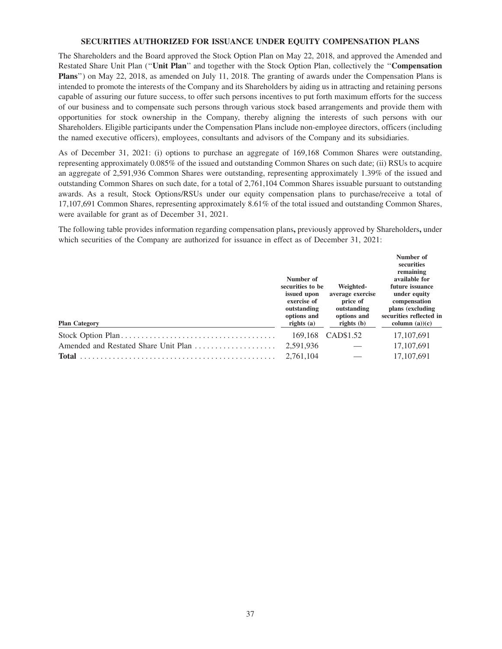#### **SECURITIES AUTHORIZED FOR ISSUANCE UNDER EQUITY COMPENSATION PLANS**

The Shareholders and the Board approved the Stock Option Plan on May 22, 2018, and approved the Amended and Restated Share Unit Plan (''**Unit Plan**'' and together with the Stock Option Plan, collectively the ''**Compensation Plans**'') on May 22, 2018, as amended on July 11, 2018. The granting of awards under the Compensation Plans is intended to promote the interests of the Company and its Shareholders by aiding us in attracting and retaining persons capable of assuring our future success, to offer such persons incentives to put forth maximum efforts for the success of our business and to compensate such persons through various stock based arrangements and provide them with opportunities for stock ownership in the Company, thereby aligning the interests of such persons with our Shareholders. Eligible participants under the Compensation Plans include non-employee directors, officers (including the named executive officers), employees, consultants and advisors of the Company and its subsidiaries.

As of December 31, 2021: (i) options to purchase an aggregate of 169,168 Common Shares were outstanding, representing approximately 0.085% of the issued and outstanding Common Shares on such date; (ii) RSUs to acquire an aggregate of 2,591,936 Common Shares were outstanding, representing approximately 1.39% of the issued and outstanding Common Shares on such date, for a total of 2,761,104 Common Shares issuable pursuant to outstanding awards. As a result, Stock Options/RSUs under our equity compensation plans to purchase/receive a total of 17,107,691 Common Shares, representing approximately 8.61% of the total issued and outstanding Common Shares, were available for grant as of December 31, 2021.

The following table provides information regarding compensation plans**,** previously approved by Shareholders**,** under which securities of the Company are authorized for issuance in effect as of December 31, 2021:

| <b>Plan Category</b>                 | Number of<br>securities to be<br>issued upon<br>exercise of<br>outstanding<br>options and<br>rights $(a)$ | Weighted-<br>average exercise<br>price of<br>outstanding<br>options and<br>rights $(b)$ | Number of<br>securities<br>remaining<br>available for<br>future issuance<br>under equity<br>compensation<br>plans (excluding<br>securities reflected in<br>column $(a)(c)$ |
|--------------------------------------|-----------------------------------------------------------------------------------------------------------|-----------------------------------------------------------------------------------------|----------------------------------------------------------------------------------------------------------------------------------------------------------------------------|
|                                      | 169.168                                                                                                   | CAD\$1.52                                                                               | 17, 107, 691                                                                                                                                                               |
| Amended and Restated Share Unit Plan | 2,591,936                                                                                                 |                                                                                         | 17, 107, 691                                                                                                                                                               |
| <b>Total</b>                         | 2,761,104                                                                                                 |                                                                                         | 17,107,691                                                                                                                                                                 |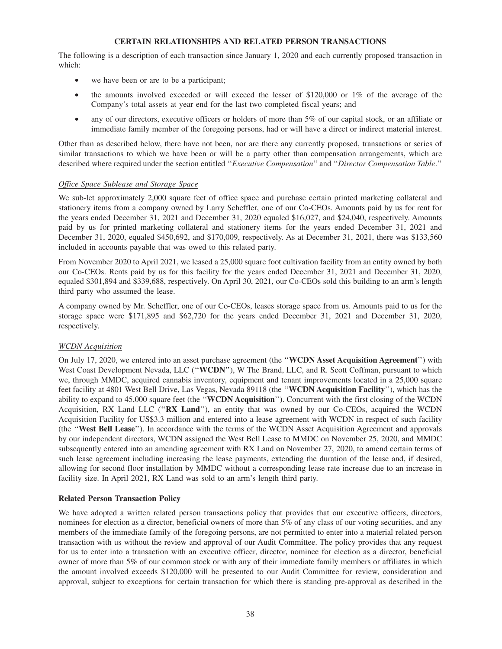### **CERTAIN RELATIONSHIPS AND RELATED PERSON TRANSACTIONS**

The following is a description of each transaction since January 1, 2020 and each currently proposed transaction in which:

- we have been or are to be a participant;
- the amounts involved exceeded or will exceed the lesser of \$120,000 or 1% of the average of the Company's total assets at year end for the last two completed fiscal years; and
- any of our directors, executive officers or holders of more than 5% of our capital stock, or an affiliate or immediate family member of the foregoing persons, had or will have a direct or indirect material interest.

Other than as described below, there have not been, nor are there any currently proposed, transactions or series of similar transactions to which we have been or will be a party other than compensation arrangements, which are described where required under the section entitled ''*Executive Compensation*'' and ''*Director Compensation Table*.''

### *Office Space Sublease and Storage Space*

We sub-let approximately 2,000 square feet of office space and purchase certain printed marketing collateral and stationery items from a company owned by Larry Scheffler, one of our Co-CEOs. Amounts paid by us for rent for the years ended December 31, 2021 and December 31, 2020 equaled \$16,027, and \$24,040, respectively. Amounts paid by us for printed marketing collateral and stationery items for the years ended December 31, 2021 and December 31, 2020, equaled \$450,692, and \$170,009, respectively. As at December 31, 2021, there was \$133,560 included in accounts payable that was owed to this related party.

From November 2020 to April 2021, we leased a 25,000 square foot cultivation facility from an entity owned by both our Co-CEOs. Rents paid by us for this facility for the years ended December 31, 2021 and December 31, 2020, equaled \$301,894 and \$339,688, respectively. On April 30, 2021, our Co-CEOs sold this building to an arm's length third party who assumed the lease.

A company owned by Mr. Scheffler, one of our Co-CEOs, leases storage space from us. Amounts paid to us for the storage space were \$171,895 and \$62,720 for the years ended December 31, 2021 and December 31, 2020, respectively.

### *WCDN Acquisition*

On July 17, 2020, we entered into an asset purchase agreement (the ''**WCDN Asset Acquisition Agreement**'') with West Coast Development Nevada, LLC (''**WCDN**''), W The Brand, LLC, and R. Scott Coffman, pursuant to which we, through MMDC, acquired cannabis inventory, equipment and tenant improvements located in a 25,000 square feet facility at 4801 West Bell Drive, Las Vegas, Nevada 89118 (the ''**WCDN Acquisition Facility**''), which has the ability to expand to 45,000 square feet (the ''**WCDN Acquisition**''). Concurrent with the first closing of the WCDN Acquisition, RX Land LLC (''**RX Land**''), an entity that was owned by our Co-CEOs, acquired the WCDN Acquisition Facility for US\$3.3 million and entered into a lease agreement with WCDN in respect of such facility (the ''**West Bell Lease**''). In accordance with the terms of the WCDN Asset Acquisition Agreement and approvals by our independent directors, WCDN assigned the West Bell Lease to MMDC on November 25, 2020, and MMDC subsequently entered into an amending agreement with RX Land on November 27, 2020, to amend certain terms of such lease agreement including increasing the lease payments, extending the duration of the lease and, if desired, allowing for second floor installation by MMDC without a corresponding lease rate increase due to an increase in facility size. In April 2021, RX Land was sold to an arm's length third party.

#### **Related Person Transaction Policy**

We have adopted a written related person transactions policy that provides that our executive officers, directors, nominees for election as a director, beneficial owners of more than 5% of any class of our voting securities, and any members of the immediate family of the foregoing persons, are not permitted to enter into a material related person transaction with us without the review and approval of our Audit Committee. The policy provides that any request for us to enter into a transaction with an executive officer, director, nominee for election as a director, beneficial owner of more than 5% of our common stock or with any of their immediate family members or affiliates in which the amount involved exceeds \$120,000 will be presented to our Audit Committee for review, consideration and approval, subject to exceptions for certain transaction for which there is standing pre-approval as described in the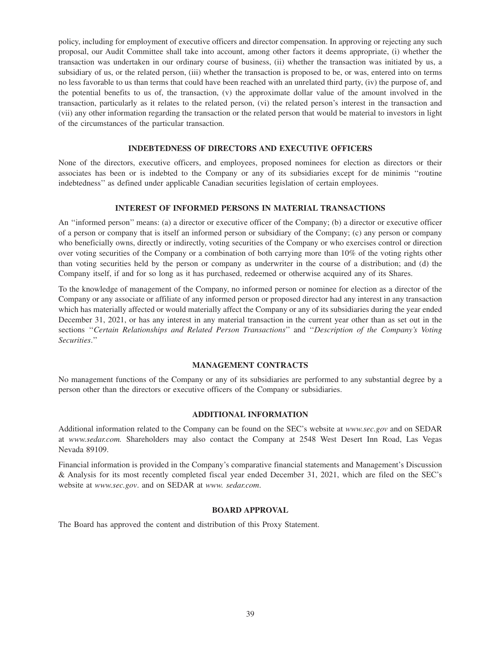policy, including for employment of executive officers and director compensation. In approving or rejecting any such proposal, our Audit Committee shall take into account, among other factors it deems appropriate, (i) whether the transaction was undertaken in our ordinary course of business, (ii) whether the transaction was initiated by us, a subsidiary of us, or the related person, (iii) whether the transaction is proposed to be, or was, entered into on terms no less favorable to us than terms that could have been reached with an unrelated third party, (iv) the purpose of, and the potential benefits to us of, the transaction, (v) the approximate dollar value of the amount involved in the transaction, particularly as it relates to the related person, (vi) the related person's interest in the transaction and (vii) any other information regarding the transaction or the related person that would be material to investors in light of the circumstances of the particular transaction.

### **INDEBTEDNESS OF DIRECTORS AND EXECUTIVE OFFICERS**

None of the directors, executive officers, and employees, proposed nominees for election as directors or their associates has been or is indebted to the Company or any of its subsidiaries except for de minimis ''routine indebtedness'' as defined under applicable Canadian securities legislation of certain employees.

#### **INTEREST OF INFORMED PERSONS IN MATERIAL TRANSACTIONS**

An ''informed person'' means: (a) a director or executive officer of the Company; (b) a director or executive officer of a person or company that is itself an informed person or subsidiary of the Company; (c) any person or company who beneficially owns, directly or indirectly, voting securities of the Company or who exercises control or direction over voting securities of the Company or a combination of both carrying more than 10% of the voting rights other than voting securities held by the person or company as underwriter in the course of a distribution; and (d) the Company itself, if and for so long as it has purchased, redeemed or otherwise acquired any of its Shares.

To the knowledge of management of the Company, no informed person or nominee for election as a director of the Company or any associate or affiliate of any informed person or proposed director had any interest in any transaction which has materially affected or would materially affect the Company or any of its subsidiaries during the year ended December 31, 2021, or has any interest in any material transaction in the current year other than as set out in the sections ''*Certain Relationships and Related Person Transactions*'' and ''*Description of the Company's Voting Securities*.''

### **MANAGEMENT CONTRACTS**

No management functions of the Company or any of its subsidiaries are performed to any substantial degree by a person other than the directors or executive officers of the Company or subsidiaries.

#### **ADDITIONAL INFORMATION**

Additional information related to the Company can be found on the SEC's website at *www.sec.gov* and on SEDAR at *www.sedar.com.* Shareholders may also contact the Company at 2548 West Desert Inn Road, Las Vegas Nevada 89109.

Financial information is provided in the Company's comparative financial statements and Management's Discussion & Analysis for its most recently completed fiscal year ended December 31, 2021, which are filed on the SEC's website at *www.sec.gov*. and on SEDAR at *www. sedar.com*.

### **BOARD APPROVAL**

The Board has approved the content and distribution of this Proxy Statement.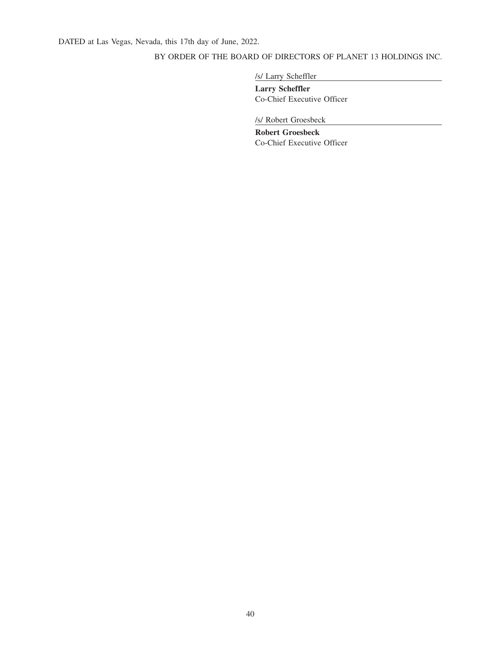## BY ORDER OF THE BOARD OF DIRECTORS OF PLANET 13 HOLDINGS INC.

/s/ Larry Scheffler

**Larry Scheffler** Co-Chief Executive Officer

/s/ Robert Groesbeck

**Robert Groesbeck** Co-Chief Executive Officer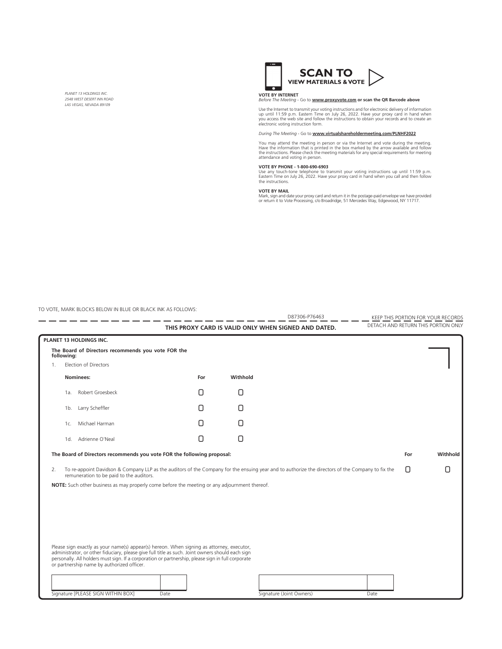*PLANET 13 HOLDINGS INC. 2548 WEST DESERT INN ROAD LAS VEGAS, NEVADA 89109*



### **VOTE BY INTERNET**  *Before The Meeting* - Go to **www.proxyvote.com or scan the QR Barcode above**

Use the Internet to transmit your voting instructions and for electronic delivery of information<br>up until 11:59 p.m. Eastern Time on July 26, 2022. Have your proxy card in hand when<br>you access the web site and follow the i

*During The Meeting* - Go to **www.virtualshareholdermeeting.com/PLNHF2022**

You may attend the meeting in person or via the Internet and vote during the meeting.<br>Have the information that is printed in the box marked by the arrow available and follow<br>the instructions. Please check the meeting mate

#### **VOTE BY PHONE - 1-800-690-6903**

Use any touch-tone telephone to transmit your voting instructions up until 11:59 p.m. Eastern Time on July 26, 2022. Have your proxy card in hand when you call and then follow the instructions.

#### **VOTE BY MAIL**

Mark, sign and date your proxy card and return it in the postage-paid envelope we have provided or return it to Vote Processing, c/o Broadridge, 51 Mercedes Way, Edgewood, NY 11717.

TO VOTE, MARK BLOCKS BELOW IN BLUE OR BLACK INK AS FOLLOWS:

|    |                                                                                                                                                                                                                                                                                                    |        |          | D87306-P76463                                        |      |     | KEEP THIS PORTION FOR YOUR RECORDS  |
|----|----------------------------------------------------------------------------------------------------------------------------------------------------------------------------------------------------------------------------------------------------------------------------------------------------|--------|----------|------------------------------------------------------|------|-----|-------------------------------------|
|    |                                                                                                                                                                                                                                                                                                    |        |          | THIS PROXY CARD IS VALID ONLY WHEN SIGNED AND DATED. |      |     | DETACH AND RETURN THIS PORTION ONLY |
|    | PLANET 13 HOLDINGS INC.                                                                                                                                                                                                                                                                            |        |          |                                                      |      |     |                                     |
|    | The Board of Directors recommends you vote FOR the<br>following:                                                                                                                                                                                                                                   |        |          |                                                      |      |     |                                     |
| 1. | Election of Directors                                                                                                                                                                                                                                                                              |        |          |                                                      |      |     |                                     |
|    | Nominees:                                                                                                                                                                                                                                                                                          | For    | Withhold |                                                      |      |     |                                     |
|    | Robert Groesbeck<br>1a.                                                                                                                                                                                                                                                                            | Π      | 0        |                                                      |      |     |                                     |
|    | Larry Scheffler<br>1b.                                                                                                                                                                                                                                                                             | Π      | 0        |                                                      |      |     |                                     |
|    | Michael Harman<br>1c.                                                                                                                                                                                                                                                                              | Π      | Ο        |                                                      |      |     |                                     |
|    | Adrienne O'Neal<br>1d.                                                                                                                                                                                                                                                                             | $\Box$ | n        |                                                      |      |     |                                     |
|    | The Board of Directors recommends you vote FOR the following proposal:                                                                                                                                                                                                                             |        |          |                                                      |      | For | Withhold                            |
| 2. | To re-appoint Davidson & Company LLP as the auditors of the Company for the ensuing year and to authorize the directors of the Company to fix the<br>remuneration to be paid to the auditors.                                                                                                      |        |          |                                                      |      | 0   | 0                                   |
|    | NOTE: Such other business as may properly come before the meeting or any adjournment thereof.                                                                                                                                                                                                      |        |          |                                                      |      |     |                                     |
|    |                                                                                                                                                                                                                                                                                                    |        |          |                                                      |      |     |                                     |
|    |                                                                                                                                                                                                                                                                                                    |        |          |                                                      |      |     |                                     |
|    |                                                                                                                                                                                                                                                                                                    |        |          |                                                      |      |     |                                     |
|    |                                                                                                                                                                                                                                                                                                    |        |          |                                                      |      |     |                                     |
|    |                                                                                                                                                                                                                                                                                                    |        |          |                                                      |      |     |                                     |
|    | Please sign exactly as your name(s) appear(s) hereon. When signing as attorney, executor,<br>administrator, or other fiduciary, please give full title as such. Joint owners should each sign<br>personally. All holders must sign. If a corporation or partnership, please sign in full corporate |        |          |                                                      |      |     |                                     |
|    | or partnership name by authorized officer.                                                                                                                                                                                                                                                         |        |          |                                                      |      |     |                                     |
|    |                                                                                                                                                                                                                                                                                                    |        |          |                                                      |      |     |                                     |
|    | Signature [PLEASE SIGN WITHIN BOX]<br>Date                                                                                                                                                                                                                                                         |        |          | Signature (Joint Owners)                             | Date |     |                                     |